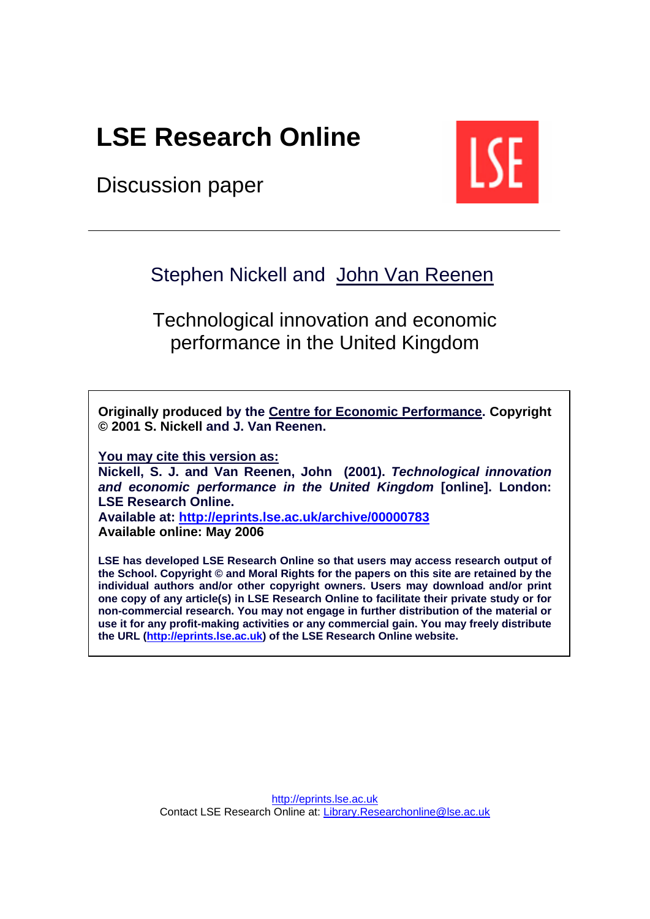# **[LSE Research Online](http://eprints.lse.ac.uk)**

Discussion paper



## Stephen Nickell and John [Van Reenen](http://econ.lse.ac.uk/staff/vanreenan_john/)

Technological innovation and economic performance in the United Kingdom

**Originally produced by th[e Centre for Economic Performance.](http://cep.lse.ac.uk/) Copyright © 2001 S. Nickell and J. Van Reenen.**

**You may cite this version as:** 

**Nickell, S. J. and Van Reenen, John (2001).** *Technological innovation and economic performance in the United Kingdom* **[online]. London: LSE Research Online.** 

**Available at: <http://eprints.lse.ac.uk/archive/00000783> Available online: May 2006** 

**LSE has developed LSE Research Online so that users may access research output of the School. Copyright © and Moral Rights for the papers on this site are retained by the individual authors and/or other copyright owners. Users may download and/or print one copy of any article(s) in LSE Research Online to facilitate their private study or for non-commercial research. You may not engage in further distribution of the material or use it for any profit-making activities or any commercial gain. You may freely distribute the URL [\(http://eprints.lse.ac.uk\)](http://eprints.lse.ac.uk/) of the LSE Research Online website.**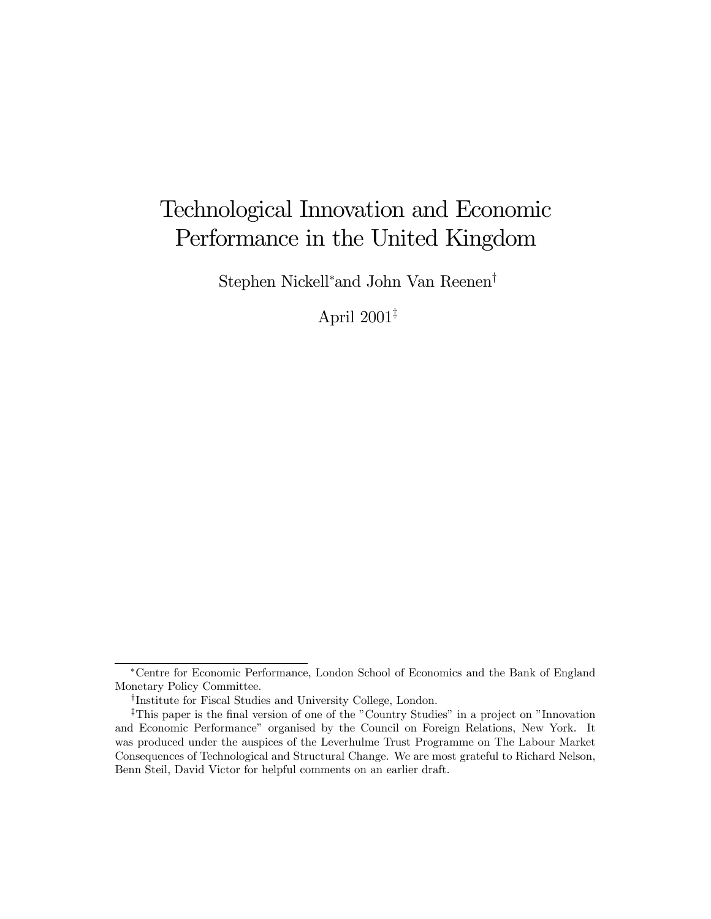## Technological Innovation and Economic Performance in the United Kingdom

Stephen Nickell<sup>∗</sup> and John Van Reenen†

April 2001‡

<sup>∗</sup>Centre for Economic Performance, London School of Economics and the Bank of England Monetary Policy Committee.

<sup>†</sup>Institute for Fiscal Studies and University College, London.

<sup>‡</sup>This paper is the final version of one of the "Country Studies" in a project on "Innovation and Economic Performance" organised by the Council on Foreign Relations, New York. It was produced under the auspices of the Leverhulme Trust Programme on The Labour Market Consequences of Technological and Structural Change. We are most grateful to Richard Nelson, Benn Steil, David Victor for helpful comments on an earlier draft.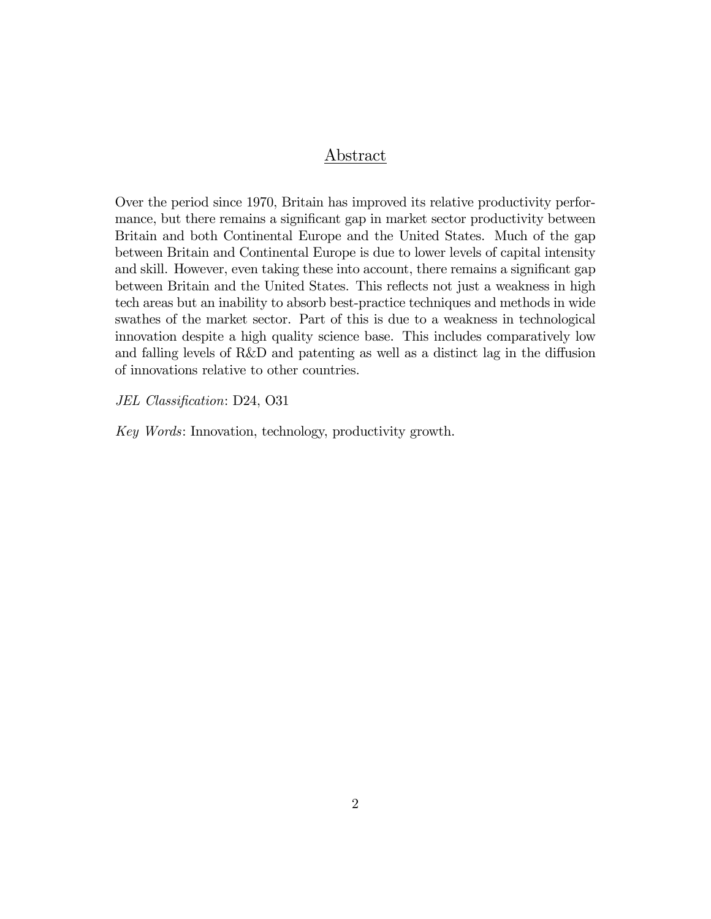## Abstract

Over the period since 1970, Britain has improved its relative productivity performance, but there remains a significant gap in market sector productivity between Britain and both Continental Europe and the United States. Much of the gap between Britain and Continental Europe is due to lower levels of capital intensity and skill. However, even taking these into account, there remains a significant gap between Britain and the United States. This reflects not just a weakness in high tech areas but an inability to absorb best-practice techniques and methods in wide swathes of the market sector. Part of this is due to a weakness in technological innovation despite a high quality science base. This includes comparatively low and falling levels of R&D and patenting as well as a distinct lag in the diffusion of innovations relative to other countries.

JEL Classification: D24, O31

Key Words: Innovation, technology, productivity growth.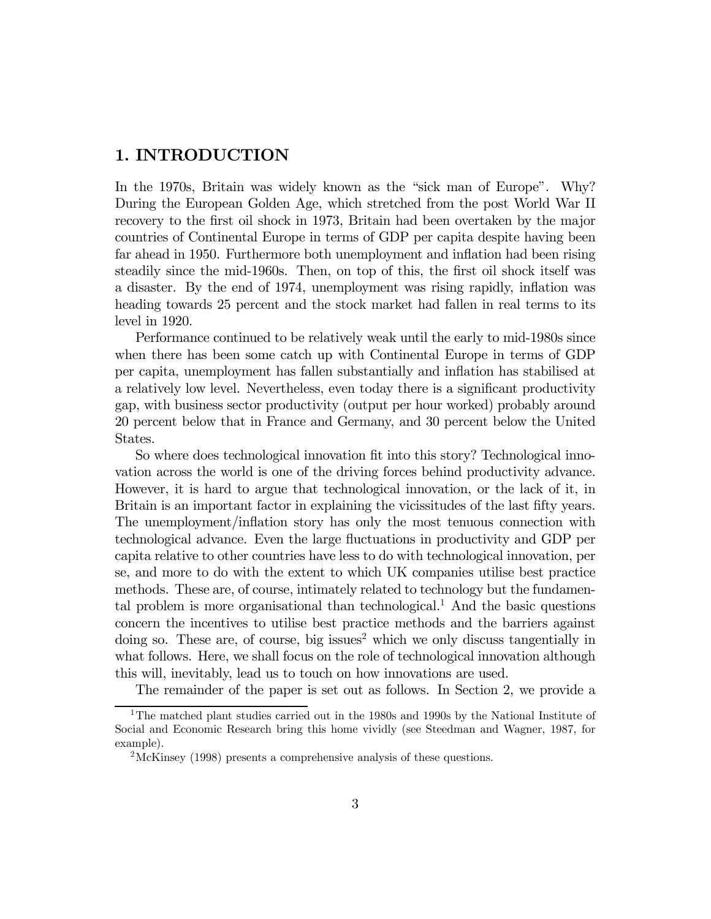### 1. INTRODUCTION

In the 1970s, Britain was widely known as the "sick man of Europe". Why? During the European Golden Age, which stretched from the post World War II recovery to the first oil shock in 1973, Britain had been overtaken by the major countries of Continental Europe in terms of GDP per capita despite having been far ahead in 1950. Furthermore both unemployment and inflation had been rising steadily since the mid-1960s. Then, on top of this, the first oil shock itself was a disaster. By the end of 1974, unemployment was rising rapidly, inflation was heading towards 25 percent and the stock market had fallen in real terms to its level in 1920.

Performance continued to be relatively weak until the early to mid-1980s since when there has been some catch up with Continental Europe in terms of GDP per capita, unemployment has fallen substantially and inflation has stabilised at a relatively low level. Nevertheless, even today there is a significant productivity gap, with business sector productivity (output per hour worked) probably around 20 percent below that in France and Germany, and 30 percent below the United States.

So where does technological innovation fit into this story? Technological innovation across the world is one of the driving forces behind productivity advance. However, it is hard to argue that technological innovation, or the lack of it, in Britain is an important factor in explaining the vicissitudes of the last fifty years. The unemployment/inflation story has only the most tenuous connection with technological advance. Even the large fluctuations in productivity and GDP per capita relative to other countries have less to do with technological innovation, per se, and more to do with the extent to which UK companies utilise best practice methods. These are, of course, intimately related to technology but the fundamental problem is more organisational than technological.<sup>1</sup> And the basic questions concern the incentives to utilise best practice methods and the barriers against  $\omega$  doing so. These are, of course, big issues<sup>2</sup> which we only discuss tangentially in what follows. Here, we shall focus on the role of technological innovation although this will, inevitably, lead us to touch on how innovations are used.

The remainder of the paper is set out as follows. In Section 2, we provide a

<sup>1</sup>The matched plant studies carried out in the 1980s and 1990s by the National Institute of Social and Economic Research bring this home vividly (see Steedman and Wagner, 1987, for example).

<sup>2</sup>McKinsey (1998) presents a comprehensive analysis of these questions.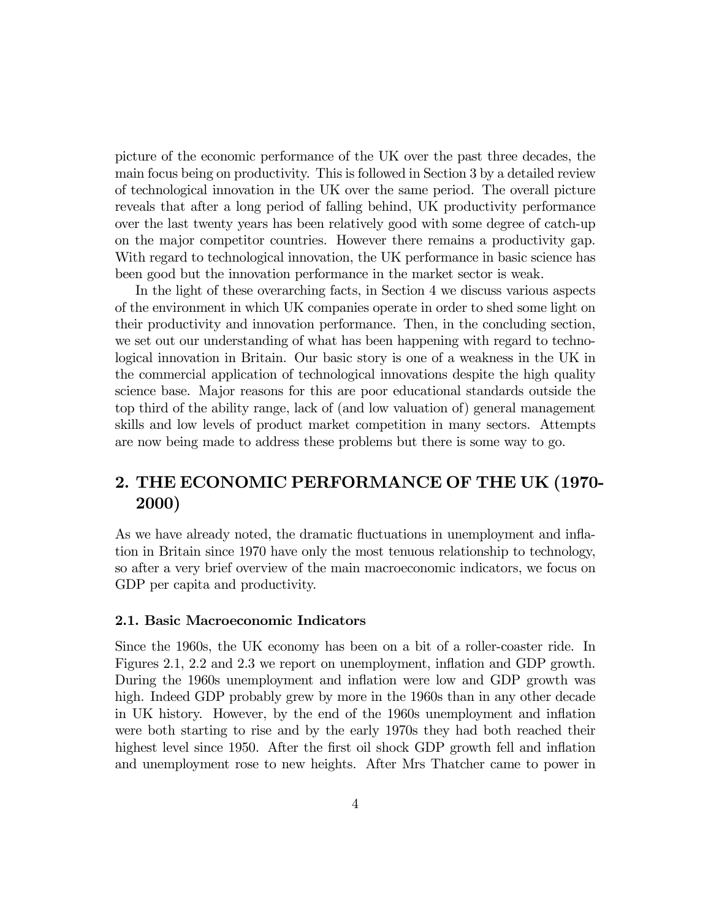picture of the economic performance of the UK over the past three decades, the main focus being on productivity. This is followed in Section 3 by a detailed review of technological innovation in the UK over the same period. The overall picture reveals that after a long period of falling behind, UK productivity performance over the last twenty years has been relatively good with some degree of catch-up on the major competitor countries. However there remains a productivity gap. With regard to technological innovation, the UK performance in basic science has been good but the innovation performance in the market sector is weak.

In the light of these overarching facts, in Section 4 we discuss various aspects of the environment in which UK companies operate in order to shed some light on their productivity and innovation performance. Then, in the concluding section, we set out our understanding of what has been happening with regard to technological innovation in Britain. Our basic story is one of a weakness in the UK in the commercial application of technological innovations despite the high quality science base. Major reasons for this are poor educational standards outside the top third of the ability range, lack of (and low valuation of) general management skills and low levels of product market competition in many sectors. Attempts are now being made to address these problems but there is some way to go.

## 2. THE ECONOMIC PERFORMANCE OF THE UK (1970- 2000)

As we have already noted, the dramatic fluctuations in unemployment and inflation in Britain since 1970 have only the most tenuous relationship to technology, so after a very brief overview of the main macroeconomic indicators, we focus on GDP per capita and productivity.

#### 2.1. Basic Macroeconomic Indicators

Since the 1960s, the UK economy has been on a bit of a roller-coaster ride. In Figures 2.1, 2.2 and 2.3 we report on unemployment, inflation and GDP growth. During the 1960s unemployment and inflation were low and GDP growth was high. Indeed GDP probably grew by more in the 1960s than in any other decade in UK history. However, by the end of the 1960s unemployment and inflation were both starting to rise and by the early 1970s they had both reached their highest level since 1950. After the first oil shock GDP growth fell and inflation and unemployment rose to new heights. After Mrs Thatcher came to power in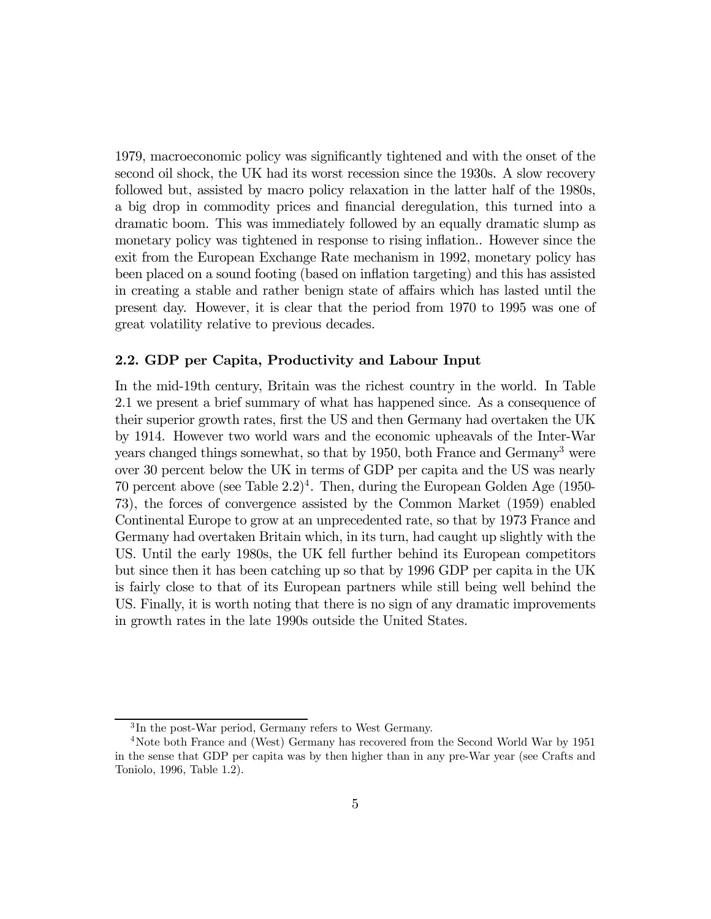1979, macroeconomic policy was significantly tightened and with the onset of the second oil shock, the UK had its worst recession since the 1930s. A slow recovery followed but, assisted by macro policy relaxation in the latter half of the 1980s, a big drop in commodity prices and financial deregulation, this turned into a dramatic boom. This was immediately followed by an equally dramatic slump as monetary policy was tightened in response to rising inflation.. However since the exit from the European Exchange Rate mechanism in 1992, monetary policy has been placed on a sound footing (based on inflation targeting) and this has assisted in creating a stable and rather benign state of affairs which has lasted until the present day. However, it is clear that the period from 1970 to 1995 was one of great volatility relative to previous decades.

#### 2.2. GDP per Capita, Productivity and Labour Input

In the mid-19th century, Britain was the richest country in the world. In Table 2.1 we present a brief summary of what has happened since. As a consequence of their superior growth rates, first the US and then Germany had overtaken the UK by 1914. However two world wars and the economic upheavals of the Inter-War years changed things somewhat, so that by 1950, both France and Germany3 were over 30 percent below the UK in terms of GDP per capita and the US was nearly 70 percent above (see Table  $2.2$ )<sup>4</sup>. Then, during the European Golden Age (1950-73), the forces of convergence assisted by the Common Market (1959) enabled Continental Europe to grow at an unprecedented rate, so that by 1973 France and Germany had overtaken Britain which, in its turn, had caught up slightly with the US. Until the early 1980s, the UK fell further behind its European competitors but since then it has been catching up so that by 1996 GDP per capita in the UK is fairly close to that of its European partners while still being well behind the US. Finally, it is worth noting that there is no sign of any dramatic improvements in growth rates in the late 1990s outside the United States.

<sup>&</sup>lt;sup>3</sup>In the post-War period, Germany refers to West Germany.

<sup>4</sup>Note both France and (West) Germany has recovered from the Second World War by 1951 in the sense that GDP per capita was by then higher than in any pre-War year (see Crafts and Toniolo, 1996, Table 1.2).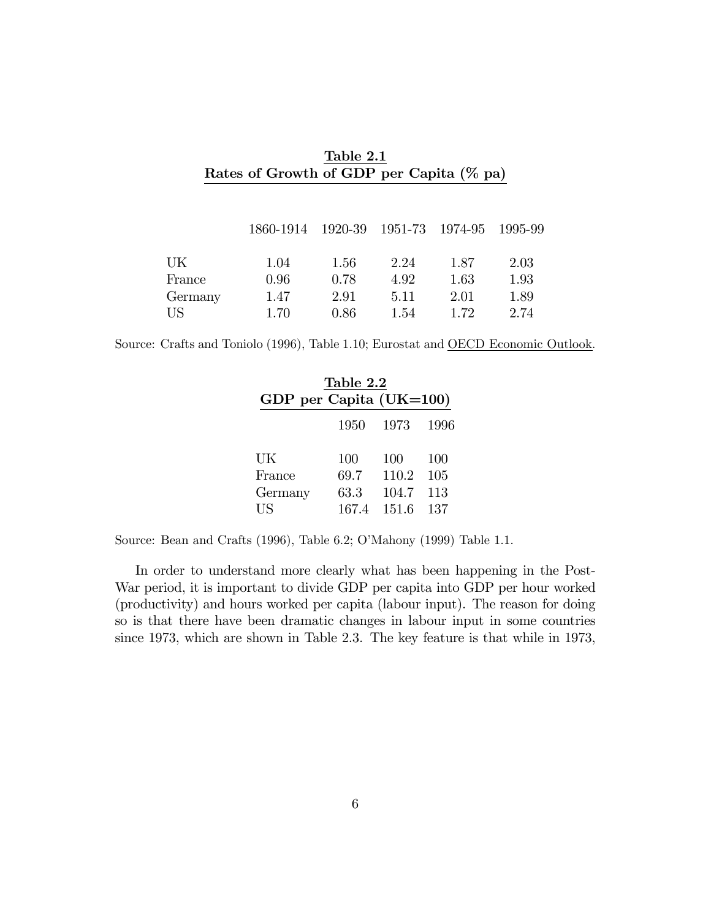|         | 1860-1914 |      | 1920-39 1951-73 1974-95 |      | 1995-99 |
|---------|-----------|------|-------------------------|------|---------|
| UK      | 1.04      | 1.56 | 2.24                    | 1.87 | 2.03    |
| France  | 0.96      | 0.78 | 4.92                    | 1.63 | 1.93    |
| Germany | 1.47      | 2.91 | 5.11                    | 2.01 | 1.89    |
| US      | 1.70      | 0.86 | 1.54                    | 1.72 | 2.74    |

Table 2.1 Rates of Growth of GDP per Capita (% pa)

Source: Crafts and Toniolo (1996), Table 1.10; Eurostat and OECD Economic Outlook.

| Table 2.2               |       |       |      |  |  |
|-------------------------|-------|-------|------|--|--|
| GDP per Capita (UK=100) |       |       |      |  |  |
|                         | 1950  | 1973  | 1996 |  |  |
| UK                      | 100   | 100   | 100  |  |  |
| France                  | 69.7  | 110.2 | 105  |  |  |
| Germany                 | 63.3  | 104.7 | 113  |  |  |
| US                      | 167.4 | 151.6 | 137  |  |  |

Source: Bean and Crafts (1996), Table 6.2; O'Mahony (1999) Table 1.1.

In order to understand more clearly what has been happening in the Post-War period, it is important to divide GDP per capita into GDP per hour worked (productivity) and hours worked per capita (labour input). The reason for doing so is that there have been dramatic changes in labour input in some countries since 1973, which are shown in Table 2.3. The key feature is that while in 1973,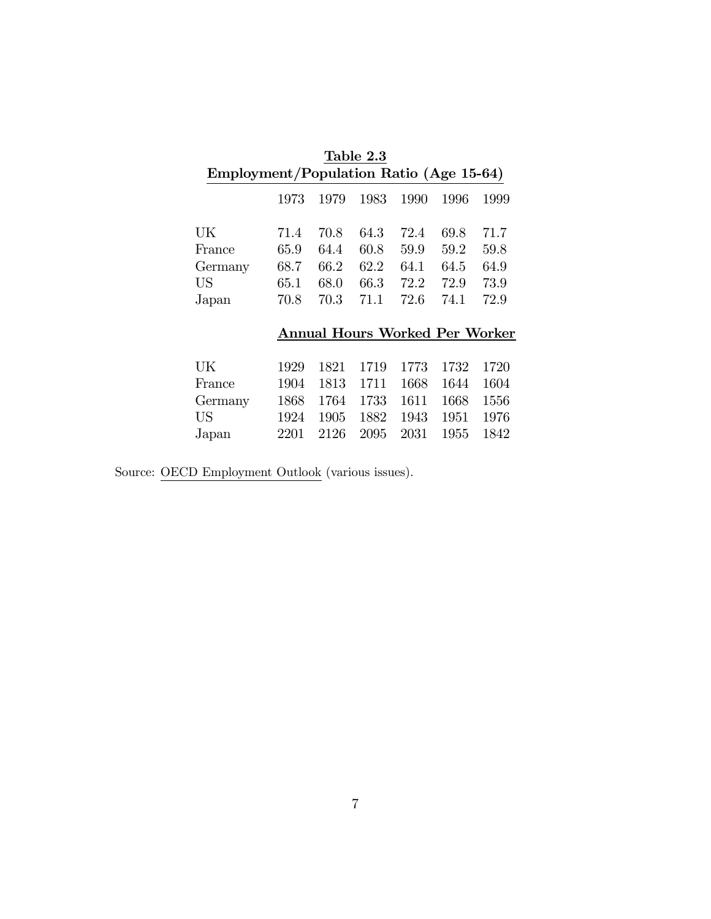|                                         | Table 2.3 |      |                                       |      |      |      |
|-----------------------------------------|-----------|------|---------------------------------------|------|------|------|
| Employment/Population Ratio (Age 15-64) |           |      |                                       |      |      |      |
|                                         | 1973      | 1979 | 1983                                  | 1990 | 1996 | 1999 |
| UK                                      | 71.4      | 70.8 | 64.3                                  | 72.4 | 69.8 | 71.7 |
| France                                  | $65.9\,$  | 64.4 | 60.8                                  | 59.9 | 59.2 | 59.8 |
| Germany                                 | 68.7      | 66.2 | 62.2                                  | 64.1 | 64.5 | 64.9 |
| US                                      | $65.1\,$  | 68.0 | 66.3                                  | 72.2 | 72.9 | 73.9 |
| Japan                                   | 70.8      | 70.3 | 71.1                                  | 72.6 | 74.1 | 72.9 |
|                                         |           |      |                                       |      |      |      |
|                                         |           |      | <b>Annual Hours Worked Per Worker</b> |      |      |      |
|                                         |           |      |                                       |      |      |      |
| UK                                      | 1929      | 1821 | 1719                                  | 1773 | 1732 | 1720 |
| France                                  | 1904      | 1813 | 1711                                  | 1668 | 1644 | 1604 |
| Germany                                 | 1868      | 1764 | 1733                                  | 1611 | 1668 | 1556 |
| US                                      | 1924      | 1905 | 1882                                  | 1943 | 1951 | 1976 |
| Japan                                   | 2201      | 2126 | 2095                                  | 2031 | 1955 | 1842 |

Source: OECD Employment Outlook (various issues).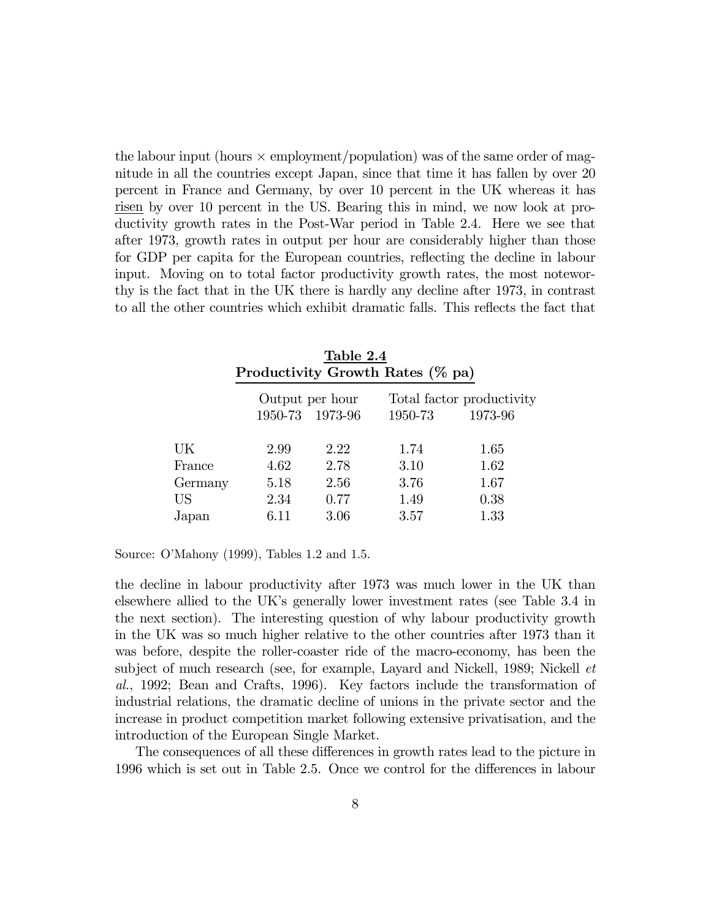the labour input (hours  $\times$  employment/population) was of the same order of magnitude in all the countries except Japan, since that time it has fallen by over 20 percent in France and Germany, by over 10 percent in the UK whereas it has risen by over 10 percent in the US. Bearing this in mind, we now look at productivity growth rates in the Post-War period in Table 2.4. Here we see that after 1973, growth rates in output per hour are considerably higher than those for GDP per capita for the European countries, reflecting the decline in labour input. Moving on to total factor productivity growth rates, the most noteworthy is the fact that in the UK there is hardly any decline after 1973, in contrast to all the other countries which exhibit dramatic falls. This reflects the fact that

|         |                 | Table 2.4       |                                  |                           |
|---------|-----------------|-----------------|----------------------------------|---------------------------|
|         |                 |                 | Productivity Growth Rates (% pa) |                           |
|         | Output per hour |                 |                                  | Total factor productivity |
|         |                 | 1950-73 1973-96 | 1950-73                          | 1973-96                   |
| UK      | 2.99            | 2.22            | 1.74                             | 1.65                      |
| France  | 4.62            | 2.78            | 3.10                             | 1.62                      |
| Germany | 5.18            | 2.56            | 3.76                             | 1.67                      |
| US      | 2.34            | 0.77            | 1.49                             | 0.38                      |
| Japan   | 6.11            | 3.06            | 3.57                             | 1.33                      |
|         |                 |                 |                                  |                           |

Source: O'Mahony (1999), Tables 1.2 and 1.5.

the decline in labour productivity after 1973 was much lower in the UK than elsewhere allied to the UK's generally lower investment rates (see Table 3.4 in the next section). The interesting question of why labour productivity growth in the UK was so much higher relative to the other countries after 1973 than it was before, despite the roller-coaster ride of the macro-economy, has been the subject of much research (see, for example, Layard and Nickell, 1989; Nickell et al., 1992; Bean and Crafts, 1996). Key factors include the transformation of industrial relations, the dramatic decline of unions in the private sector and the increase in product competition market following extensive privatisation, and the introduction of the European Single Market.

The consequences of all these differences in growth rates lead to the picture in 1996 which is set out in Table 2.5. Once we control for the differences in labour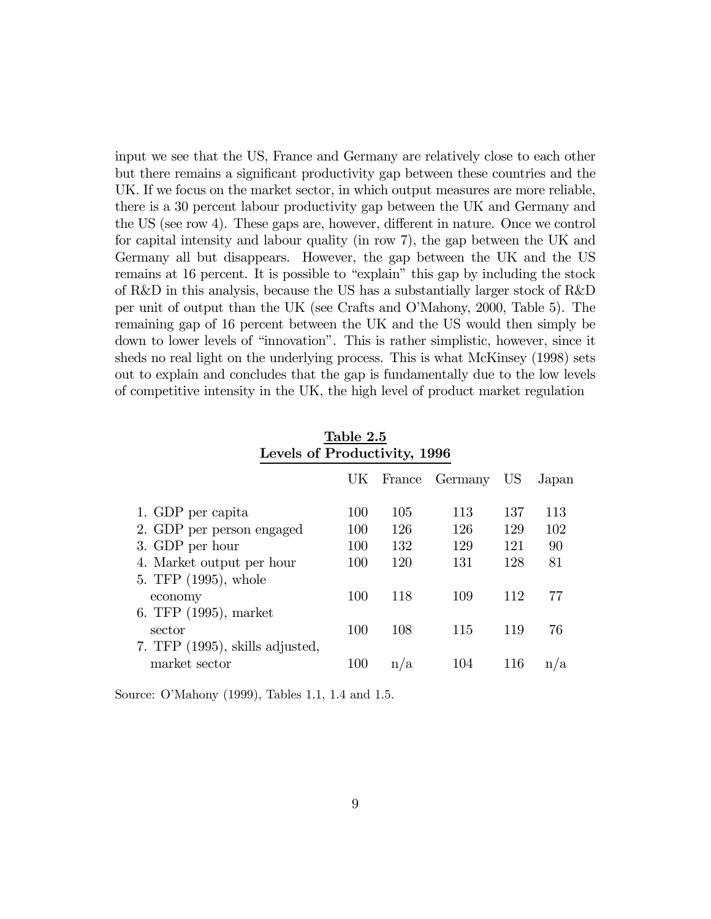input we see that the US, France and Germany are relatively close to each other but there remains a significant productivity gap between these countries and the UK. If we focus on the market sector, in which output measures are more reliable, there is a 30 percent labour productivity gap between the UK and Germany and the US (see row 4). These gaps are, however, different in nature. Once we control for capital intensity and labour quality (in row 7), the gap between the UK and Germany all but disappears. However, the gap between the UK and the US remains at 16 percent. It is possible to "explain" this gap by including the stock of R&D in this analysis, because the US has a substantially larger stock of R&D per unit of output than the UK (see Crafts and O'Mahony, 2000, Table 5). The remaining gap of 16 percent between the UK and the US would then simply be down to lower levels of "innovation". This is rather simplistic, however, since it sheds no real light on the underlying process. This is what McKinsey (1998) sets out to explain and concludes that the gap is fundamentally due to the low levels of competitive intensity in the UK, the high level of product market regulation

|     |     |     | US                | Japan |
|-----|-----|-----|-------------------|-------|
| 100 | 105 | 113 | 137               | 113   |
| 100 | 126 | 126 | 129               | 102   |
| 100 | 132 | 129 | 121               | 90    |
| 100 | 120 | 131 | 128               | 81    |
|     |     |     |                   |       |
| 100 | 118 | 109 | 112               | 77    |
|     |     |     |                   |       |
| 100 | 108 | 115 | 119               | 76    |
|     |     |     |                   |       |
| 100 | n/a | 104 | 116               | n/a   |
|     |     |     | UK France Germany |       |

Table 2.5 Levels of Productivity, 1996

Source: O'Mahony (1999), Tables 1.1, 1.4 and 1.5.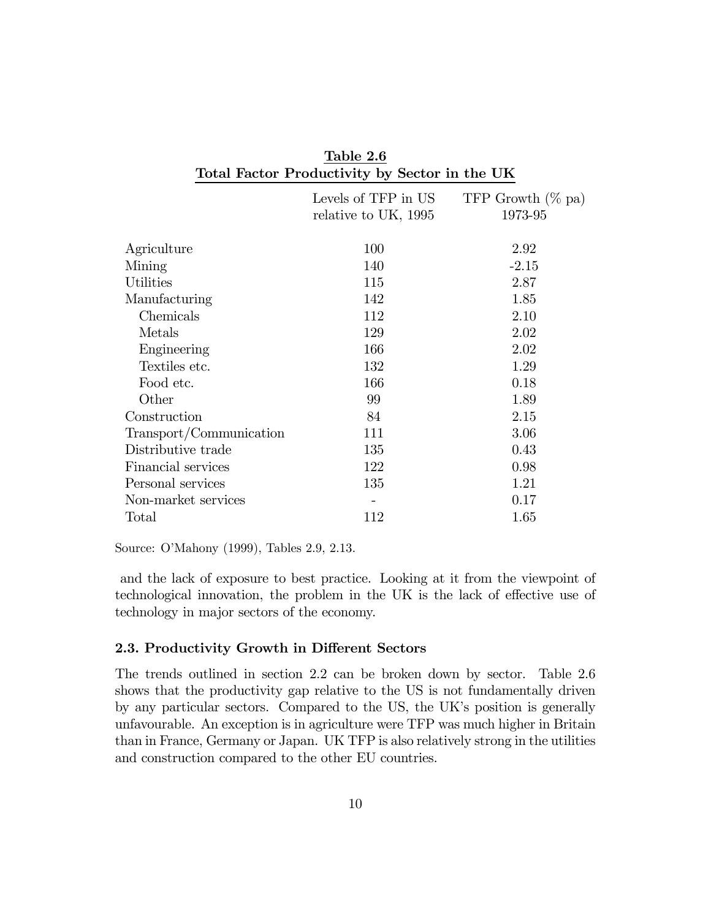| Total Factor Productivity by Sector in the UK |                                             |                                 |  |  |  |
|-----------------------------------------------|---------------------------------------------|---------------------------------|--|--|--|
|                                               | Levels of TFP in US<br>relative to UK, 1995 | TFP Growth $(\%$ pa)<br>1973-95 |  |  |  |
| Agriculture                                   | 100                                         | 2.92                            |  |  |  |
| Mining                                        | 140                                         | $-2.15$                         |  |  |  |
| <b>Utilities</b>                              | 115                                         | 2.87                            |  |  |  |
| Manufacturing                                 | 142                                         | 1.85                            |  |  |  |
| Chemicals                                     | 112                                         | 2.10                            |  |  |  |
| Metals                                        | 129                                         | 2.02                            |  |  |  |
| Engineering                                   | 166                                         | 2.02                            |  |  |  |
| Textiles etc.                                 | 132                                         | 1.29                            |  |  |  |
| Food etc.                                     | 166                                         | 0.18                            |  |  |  |
| Other                                         | 99                                          | 1.89                            |  |  |  |
| Construction                                  | 84                                          | 2.15                            |  |  |  |
| Transport/Communication                       | 111                                         | 3.06                            |  |  |  |
| Distributive trade                            | 135                                         | 0.43                            |  |  |  |
| Financial services                            | 122                                         | 0.98                            |  |  |  |
| Personal services                             | 135                                         | 1.21                            |  |  |  |
| Non-market services                           |                                             | 0.17                            |  |  |  |
| Total                                         | 112                                         | 1.65                            |  |  |  |

Table 2.6

Source: O'Mahony (1999), Tables 2.9, 2.13.

and the lack of exposure to best practice. Looking at it from the viewpoint of technological innovation, the problem in the UK is the lack of effective use of technology in major sectors of the economy.

#### 2.3. Productivity Growth in Different Sectors

The trends outlined in section 2.2 can be broken down by sector. Table 2.6 shows that the productivity gap relative to the US is not fundamentally driven by any particular sectors. Compared to the US, the UK's position is generally unfavourable. An exception is in agriculture were TFP was much higher in Britain than in France, Germany or Japan. UK TFP is also relatively strong in the utilities and construction compared to the other EU countries.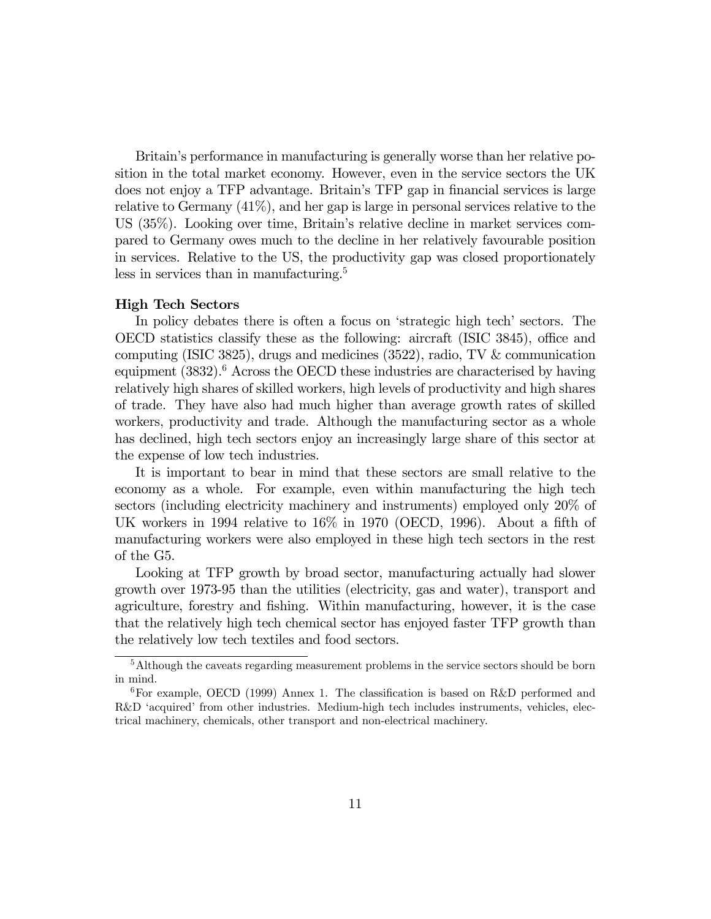Britain's performance in manufacturing is generally worse than her relative position in the total market economy. However, even in the service sectors the UK does not enjoy a TFP advantage. Britain's TFP gap in financial services is large relative to Germany (41%), and her gap is large in personal services relative to the US (35%). Looking over time, Britain's relative decline in market services compared to Germany owes much to the decline in her relatively favourable position in services. Relative to the US, the productivity gap was closed proportionately less in services than in manufacturing.<sup>5</sup>

#### High Tech Sectors

In policy debates there is often a focus on 'strategic high tech' sectors. The OECD statistics classify these as the following: aircraft (ISIC 3845), office and computing (ISIC 3825), drugs and medicines (3522), radio, TV & communication equipment  $(3832)$ .<sup>6</sup> Across the OECD these industries are characterised by having relatively high shares of skilled workers, high levels of productivity and high shares of trade. They have also had much higher than average growth rates of skilled workers, productivity and trade. Although the manufacturing sector as a whole has declined, high tech sectors enjoy an increasingly large share of this sector at the expense of low tech industries.

It is important to bear in mind that these sectors are small relative to the economy as a whole. For example, even within manufacturing the high tech sectors (including electricity machinery and instruments) employed only 20% of UK workers in 1994 relative to 16% in 1970 (OECD, 1996). About a fifth of manufacturing workers were also employed in these high tech sectors in the rest of the G5.

Looking at TFP growth by broad sector, manufacturing actually had slower growth over 1973-95 than the utilities (electricity, gas and water), transport and agriculture, forestry and fishing. Within manufacturing, however, it is the case that the relatively high tech chemical sector has enjoyed faster TFP growth than the relatively low tech textiles and food sectors.

<sup>5</sup>Although the caveats regarding measurement problems in the service sectors should be born in mind.

 ${}^{6}$ For example, OECD (1999) Annex 1. The classification is based on R&D performed and R&D 'acquired' from other industries. Medium-high tech includes instruments, vehicles, electrical machinery, chemicals, other transport and non-electrical machinery.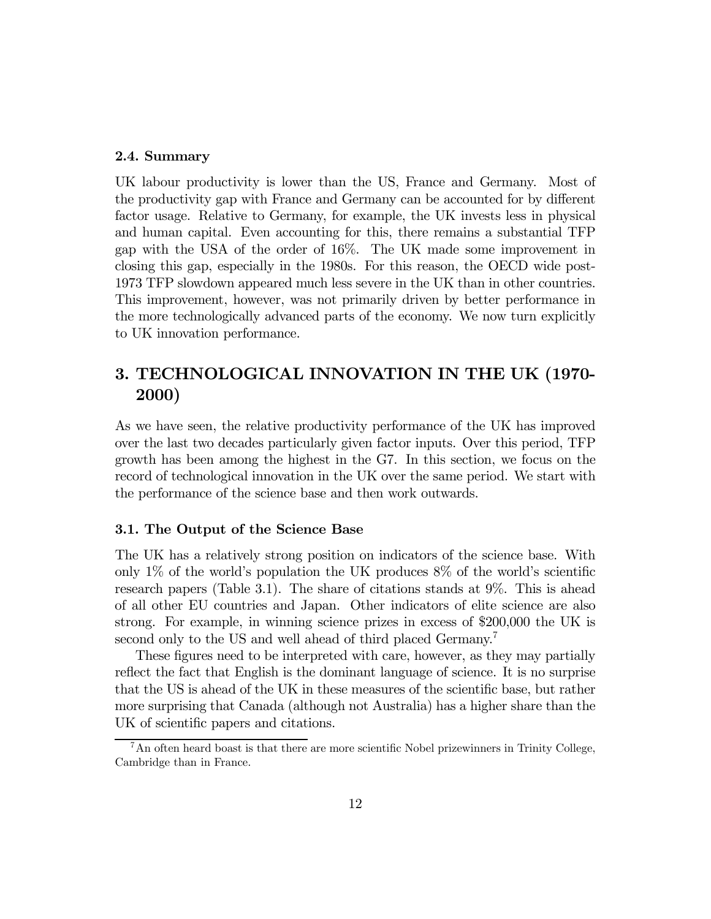#### 2.4. Summary

UK labour productivity is lower than the US, France and Germany. Most of the productivity gap with France and Germany can be accounted for by different factor usage. Relative to Germany, for example, the UK invests less in physical and human capital. Even accounting for this, there remains a substantial TFP gap with the USA of the order of 16%. The UK made some improvement in closing this gap, especially in the 1980s. For this reason, the OECD wide post-1973 TFP slowdown appeared much less severe in the UK than in other countries. This improvement, however, was not primarily driven by better performance in the more technologically advanced parts of the economy. We now turn explicitly to UK innovation performance.

## 3. TECHNOLOGICAL INNOVATION IN THE UK (1970- 2000)

As we have seen, the relative productivity performance of the UK has improved over the last two decades particularly given factor inputs. Over this period, TFP growth has been among the highest in the G7. In this section, we focus on the record of technological innovation in the UK over the same period. We start with the performance of the science base and then work outwards.

#### 3.1. The Output of the Science Base

The UK has a relatively strong position on indicators of the science base. With only 1\% of the world's population the UK produces  $8\%$  of the world's scientific research papers (Table 3.1). The share of citations stands at 9%. This is ahead of all other EU countries and Japan. Other indicators of elite science are also strong. For example, in winning science prizes in excess of \$200,000 the UK is second only to the US and well ahead of third placed Germany.<sup>7</sup>

These figures need to be interpreted with care, however, as they may partially reflect the fact that English is the dominant language of science. It is no surprise that the US is ahead of the UK in these measures of the scientific base, but rather more surprising that Canada (although not Australia) has a higher share than the UK of scientific papers and citations.

<sup>&</sup>lt;sup>7</sup>An often heard boast is that there are more scientific Nobel prizewinners in Trinity College, Cambridge than in France.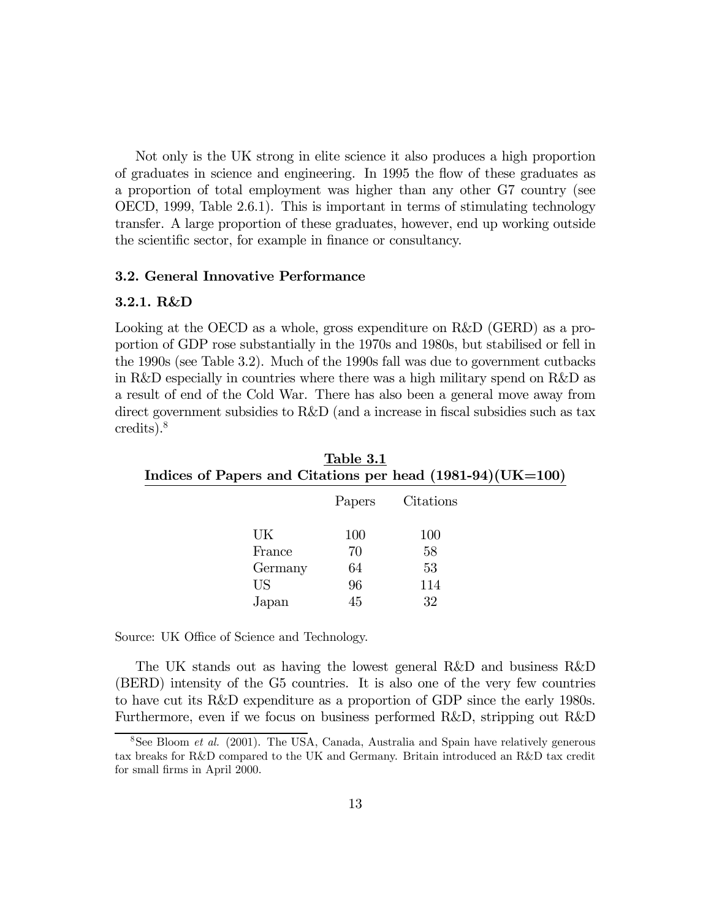Not only is the UK strong in elite science it also produces a high proportion of graduates in science and engineering. In 1995 the flow of these graduates as a proportion of total employment was higher than any other G7 country (see OECD, 1999, Table 2.6.1). This is important in terms of stimulating technology transfer. A large proportion of these graduates, however, end up working outside the scientific sector, for example in finance or consultancy.

#### 3.2. General Innovative Performance

#### 3.2.1. R&D

Looking at the OECD as a whole, gross expenditure on R&D (GERD) as a proportion of GDP rose substantially in the 1970s and 1980s, but stabilised or fell in the 1990s (see Table 3.2). Much of the 1990s fall was due to government cutbacks in R&D especially in countries where there was a high military spend on R&D as a result of end of the Cold War. There has also been a general move away from direct government subsidies to R&D (and a increase in fiscal subsidies such as tax credits).8

| Table 3.1<br>Indices of Papers and Citations per head $(1981-94)(UK=100)$ |        |           |  |  |  |
|---------------------------------------------------------------------------|--------|-----------|--|--|--|
|                                                                           | Papers | Citations |  |  |  |
| UK                                                                        | 100    | 100       |  |  |  |
| France                                                                    | 70     | 58        |  |  |  |
| Germany                                                                   | 64     | 53        |  |  |  |
| US                                                                        | 96     | 114       |  |  |  |
| Japan                                                                     | 45     | 32        |  |  |  |

Source: UK Office of Science and Technology.

The UK stands out as having the lowest general R&D and business R&D (BERD) intensity of the G5 countries. It is also one of the very few countries to have cut its R&D expenditure as a proportion of GDP since the early 1980s. Furthermore, even if we focus on business performed R&D, stripping out R&D

<sup>&</sup>lt;sup>8</sup>See Bloom *et al.* (2001). The USA, Canada, Australia and Spain have relatively generous tax breaks for R&D compared to the UK and Germany. Britain introduced an R&D tax credit for small firms in April 2000.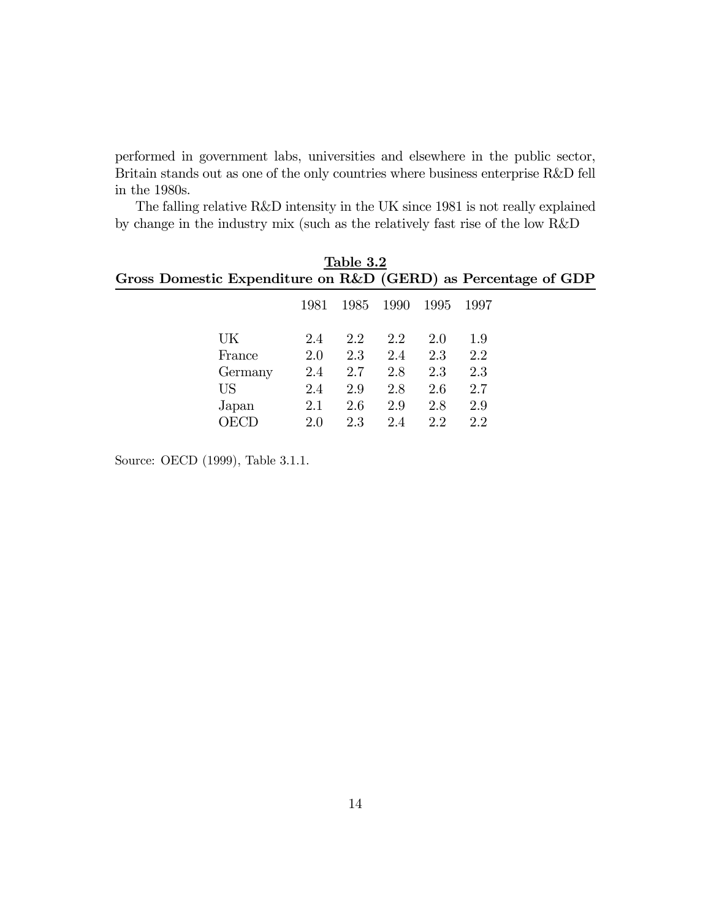performed in government labs, universities and elsewhere in the public sector, Britain stands out as one of the only countries where business enterprise R&D fell in the 1980s.

The falling relative R&D intensity in the UK since 1981 is not really explained by change in the industry mix (such as the relatively fast rise of the low R&D

| Table 3.2                                                     |      |      |      |      |      |  |
|---------------------------------------------------------------|------|------|------|------|------|--|
| Gross Domestic Expenditure on R&D (GERD) as Percentage of GDP |      |      |      |      |      |  |
|                                                               | 1981 | 1985 | 1990 | 1995 | 1997 |  |
| UK                                                            | 2.4  | 2.2  | 2.2  | 2.0  | 1.9  |  |
| France                                                        | 2.0  | 2.3  | 2.4  | 2.3  | 2.2  |  |
| Germany                                                       | 2.4  | 2.7  | 2.8  | 2.3  | 2.3  |  |
| US                                                            | 2.4  | 2.9  | 2.8  | 2.6  | 2.7  |  |
| Japan                                                         | 2.1  | 2.6  | 2.9  | 2.8  | 2.9  |  |
|                                                               | 2.0  | 2.3  | 2.4  | 2.2  | 2.2  |  |

Source: OECD (1999), Table 3.1.1.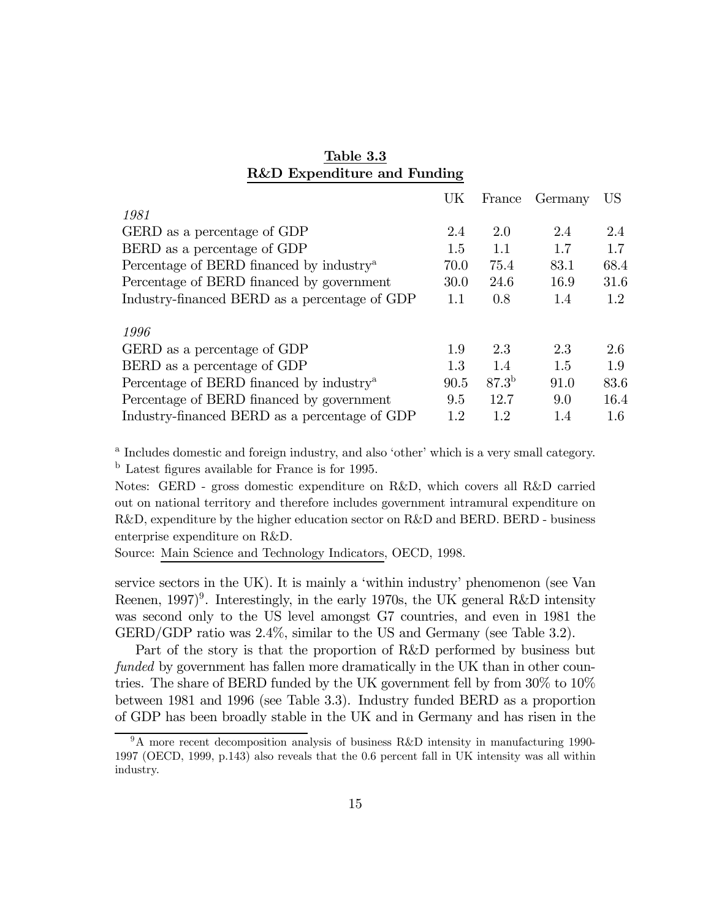|                                                      | UK   | France     | Germany | US   |
|------------------------------------------------------|------|------------|---------|------|
| 1981                                                 |      |            |         |      |
| GERD as a percentage of GDP                          | 2.4  | 2.0        | 2.4     | 2.4  |
| BERD as a percentage of GDP                          | 1.5  | 1.1        | 1.7     | 1.7  |
| Percentage of BERD financed by industry <sup>a</sup> | 70.0 | 75.4       | 83.1    | 68.4 |
| Percentage of BERD financed by government            | 30.0 | 24.6       | 16.9    | 31.6 |
| Industry-financed BERD as a percentage of GDP        | 1.1  | 0.8        | 1.4     | 1.2  |
| 1996                                                 |      |            |         |      |
| GERD as a percentage of GDP                          | 1.9  | 2.3        | 2.3     | 2.6  |
| BERD as a percentage of GDP                          | 1.3  | 14         | 1.5     | 1.9  |
| Percentage of BERD financed by industry <sup>a</sup> | 90.5 | $87.3^{b}$ | 91.0    | 83.6 |
| Percentage of BERD financed by government            | 9.5  | 12.7       | 9.0     | 16.4 |
| Industry-financed BERD as a percentage of GDP        | 1.2  | 1.2        | 1.4     | 1.6  |

## Table 3.3 R&D Expenditure and Funding

<sup>a</sup> Includes domestic and foreign industry, and also 'other' which is a very small category. <sup>b</sup> Latest figures available for France is for 1995.

Notes: GERD - gross domestic expenditure on R&D, which covers all R&D carried out on national territory and therefore includes government intramural expenditure on R&D, expenditure by the higher education sector on R&D and BERD. BERD - business enterprise expenditure on R&D.

Source: Main Science and Technology Indicators, OECD, 1998.

service sectors in the UK). It is mainly a 'within industry' phenomenon (see Van Reenen,  $1997$ <sup>9</sup>. Interestingly, in the early 1970s, the UK general R&D intensity was second only to the US level amongst G7 countries, and even in 1981 the GERD/GDP ratio was 2.4%, similar to the US and Germany (see Table 3.2).

Part of the story is that the proportion of R&D performed by business but funded by government has fallen more dramatically in the UK than in other countries. The share of BERD funded by the UK government fell by from 30% to 10% between 1981 and 1996 (see Table 3.3). Industry funded BERD as a proportion of GDP has been broadly stable in the UK and in Germany and has risen in the

<sup>9</sup>A more recent decomposition analysis of business R&D intensity in manufacturing 1990- 1997 (OECD, 1999, p.143) also reveals that the 0.6 percent fall in UK intensity was all within industry.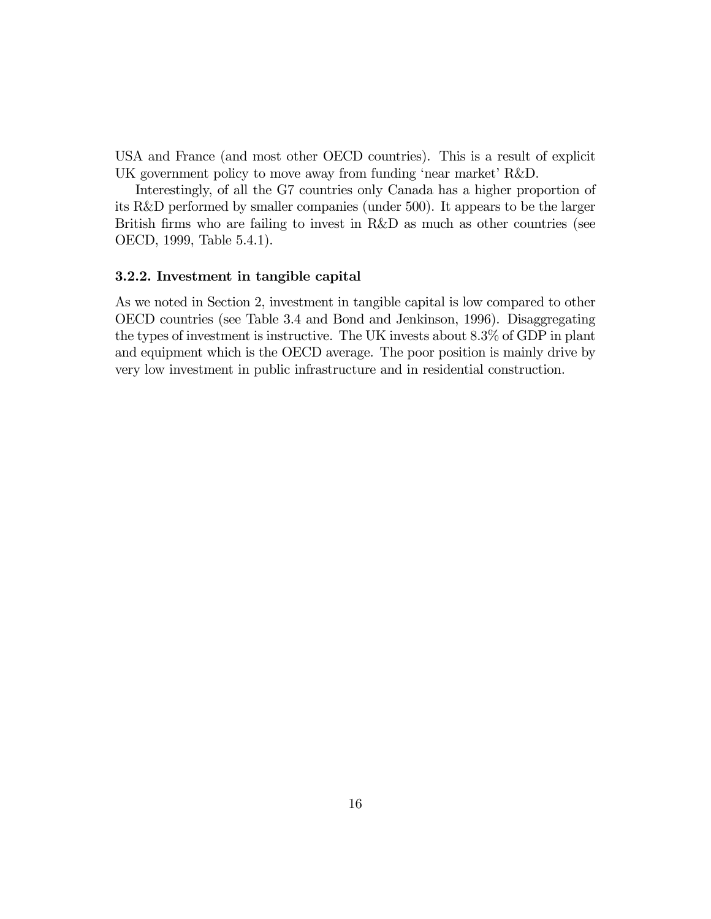USA and France (and most other OECD countries). This is a result of explicit UK government policy to move away from funding 'near market' R&D.

Interestingly, of all the G7 countries only Canada has a higher proportion of its R&D performed by smaller companies (under 500). It appears to be the larger British firms who are failing to invest in R&D as much as other countries (see OECD, 1999, Table 5.4.1).

#### 3.2.2. Investment in tangible capital

As we noted in Section 2, investment in tangible capital is low compared to other OECD countries (see Table 3.4 and Bond and Jenkinson, 1996). Disaggregating the types of investment is instructive. The UK invests about 8.3% of GDP in plant and equipment which is the OECD average. The poor position is mainly drive by very low investment in public infrastructure and in residential construction.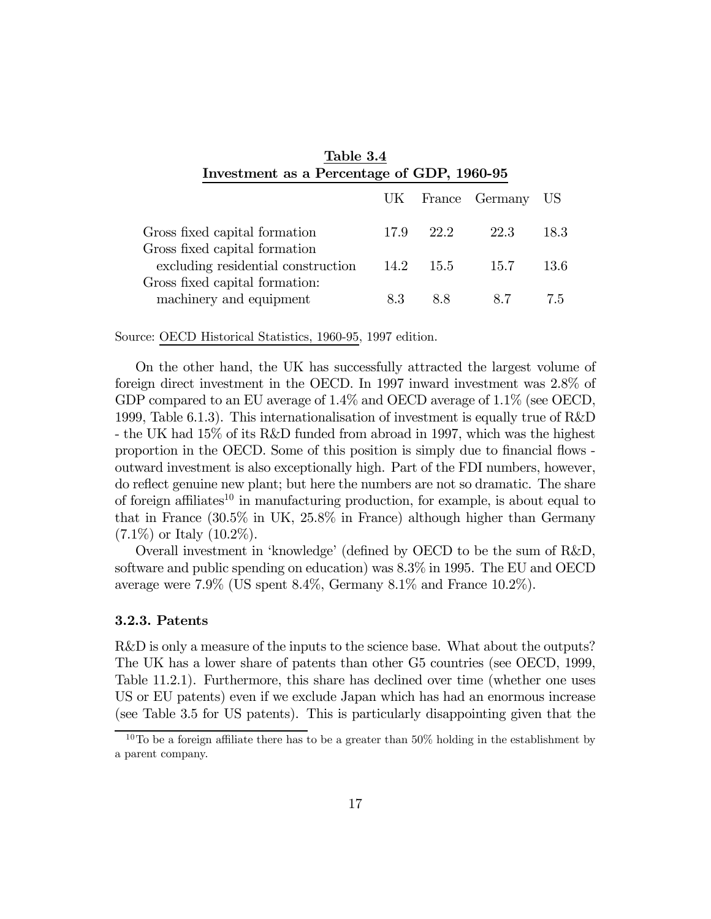| Table 3.4<br>Investment as a Percentage of GDP, 1960-95             |      |      |                   |      |
|---------------------------------------------------------------------|------|------|-------------------|------|
|                                                                     |      |      | UK France Germany | US.  |
| Gross fixed capital formation                                       | 17.9 | 22.2 | 22.3              | 18.3 |
| Gross fixed capital formation<br>excluding residential construction | 14.2 | 15.5 | 15.7              | 13.6 |
| Gross fixed capital formation:<br>machinery and equipment           | 8.3  | 8.8  | 8.7               | 7.5  |

Source: OECD Historical Statistics, 1960-95, 1997 edition.

On the other hand, the UK has successfully attracted the largest volume of foreign direct investment in the OECD. In 1997 inward investment was 2.8% of GDP compared to an EU average of 1.4% and OECD average of 1.1% (see OECD, 1999, Table 6.1.3). This internationalisation of investment is equally true of R&D - the UK had 15% of its R&D funded from abroad in 1997, which was the highest proportion in the OECD. Some of this position is simply due to financial flows outward investment is also exceptionally high. Part of the FDI numbers, however, do reflect genuine new plant; but here the numbers are not so dramatic. The share of foreign affiliates<sup>10</sup> in manufacturing production, for example, is about equal to that in France (30.5% in UK, 25.8% in France) although higher than Germany  $(7.1\%)$  or Italy  $(10.2\%).$ 

Overall investment in 'knowledge' (defined by OECD to be the sum of R&D, software and public spending on education) was 8.3% in 1995. The EU and OECD average were 7.9% (US spent 8.4%, Germany 8.1% and France 10.2%).

#### 3.2.3. Patents

R&D is only a measure of the inputs to the science base. What about the outputs? The UK has a lower share of patents than other G5 countries (see OECD, 1999, Table 11.2.1). Furthermore, this share has declined over time (whether one uses US or EU patents) even if we exclude Japan which has had an enormous increase (see Table 3.5 for US patents). This is particularly disappointing given that the

<sup>&</sup>lt;sup>10</sup>To be a foreign affiliate there has to be a greater than  $50\%$  holding in the establishment by a parent company.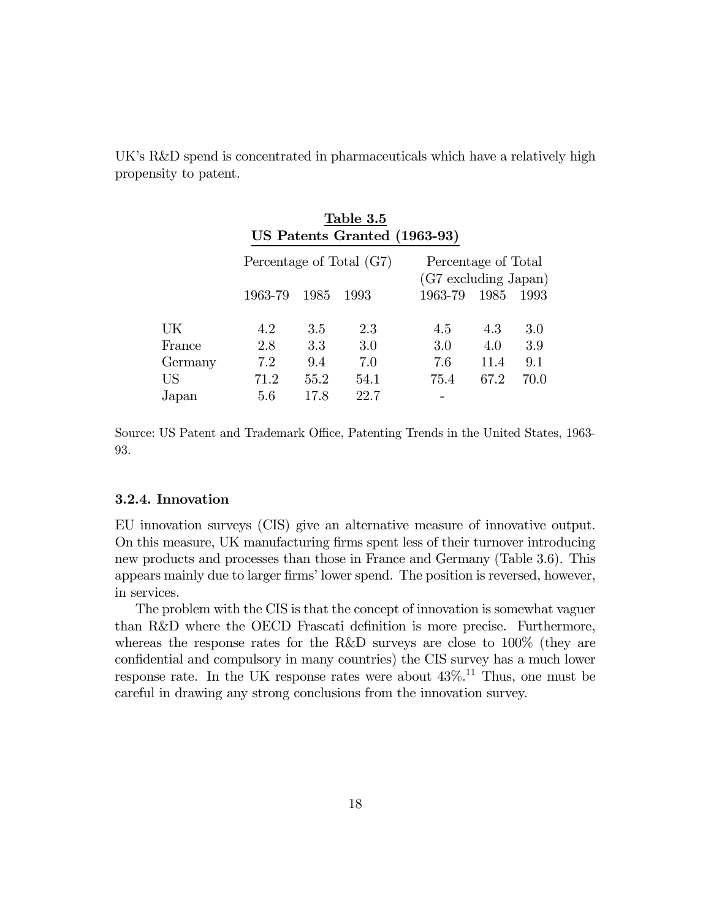UK's R&D spend is concentrated in pharmaceuticals which have a relatively high propensity to patent.

|         |                          |      | Table 3.5<br>US Patents Granted (1963-93) |                                             |      |      |
|---------|--------------------------|------|-------------------------------------------|---------------------------------------------|------|------|
|         | Percentage of Total (G7) |      |                                           | Percentage of Total<br>(G7 excluding Japan) |      |      |
|         | 1963-79                  | 1985 | 1993                                      | 1963-79                                     | 1985 | 1993 |
| UK      | 4.2                      | 3.5  | 2.3                                       | 4.5                                         | 4.3  | 3.0  |
| France  | 2.8                      | 3.3  | 3.0                                       | 3.0                                         | 4.0  | 3.9  |
| Germany | 7.2                      | 9.4  | 7.0                                       | 7.6                                         | 11.4 | 9.1  |
| US      | 71.2                     | 55.2 | 54.1                                      | 75.4                                        | 67.2 | 70.0 |
| Japan   | 5.6                      | 17.8 | 22.7                                      |                                             |      |      |

Source: US Patent and Trademark Office, Patenting Trends in the United States, 1963- 93.

#### 3.2.4. Innovation

EU innovation surveys (CIS) give an alternative measure of innovative output. On this measure, UK manufacturing firms spent less of their turnover introducing new products and processes than those in France and Germany (Table 3.6). This appears mainly due to larger firms' lower spend. The position is reversed, however, in services.

The problem with the CIS is that the concept of innovation is somewhat vaguer than R&D where the OECD Frascati definition is more precise. Furthermore, whereas the response rates for the R&D surveys are close to 100% (they are confidential and compulsory in many countries) the CIS survey has a much lower response rate. In the UK response rates were about  $43\%$ <sup>11</sup> Thus, one must be careful in drawing any strong conclusions from the innovation survey.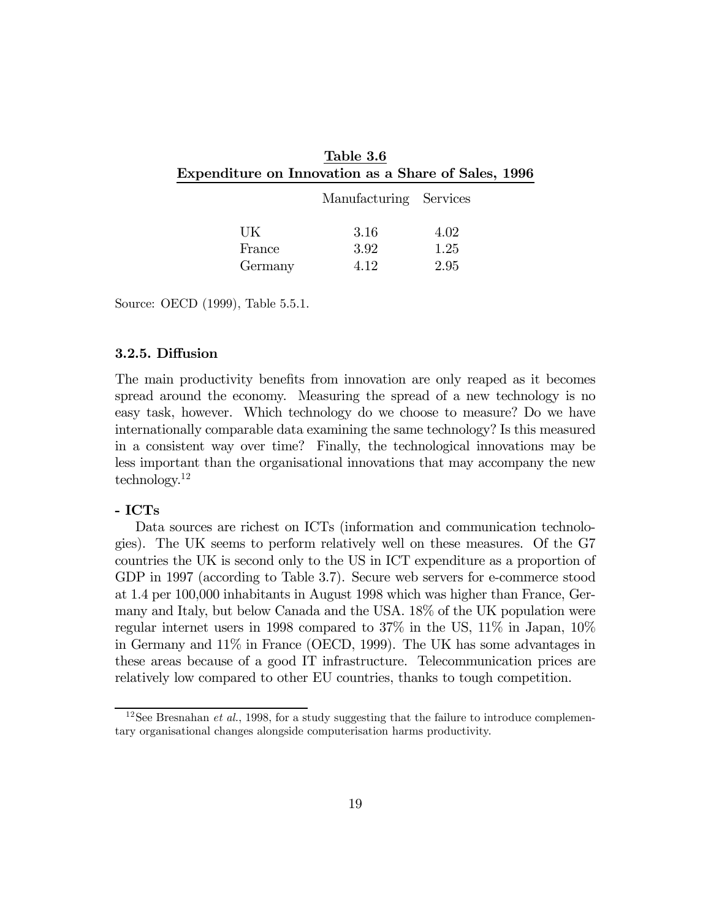| Table 3.6                                           |  |
|-----------------------------------------------------|--|
| Expenditure on Innovation as a Share of Sales, 1996 |  |

|         | Manufacturing Services |      |
|---------|------------------------|------|
| UK      | 3.16                   | 4.02 |
| France  | 3.92                   | 1.25 |
| Germany | 4 12                   | 2.95 |

Source: OECD (1999), Table 5.5.1.

#### 3.2.5. Diffusion

The main productivity benefits from innovation are only reaped as it becomes spread around the economy. Measuring the spread of a new technology is no easy task, however. Which technology do we choose to measure? Do we have internationally comparable data examining the same technology? Is this measured in a consistent way over time? Finally, the technological innovations may be less important than the organisational innovations that may accompany the new technology.12

#### - ICTs

Data sources are richest on ICTs (information and communication technologies). The UK seems to perform relatively well on these measures. Of the G7 countries the UK is second only to the US in ICT expenditure as a proportion of GDP in 1997 (according to Table 3.7). Secure web servers for e-commerce stood at 1.4 per 100,000 inhabitants in August 1998 which was higher than France, Germany and Italy, but below Canada and the USA. 18% of the UK population were regular internet users in 1998 compared to 37% in the US, 11% in Japan, 10% in Germany and 11% in France (OECD, 1999). The UK has some advantages in these areas because of a good IT infrastructure. Telecommunication prices are relatively low compared to other EU countries, thanks to tough competition.

<sup>&</sup>lt;sup>12</sup>See Bresnahan *et al.*, 1998, for a study suggesting that the failure to introduce complementary organisational changes alongside computerisation harms productivity.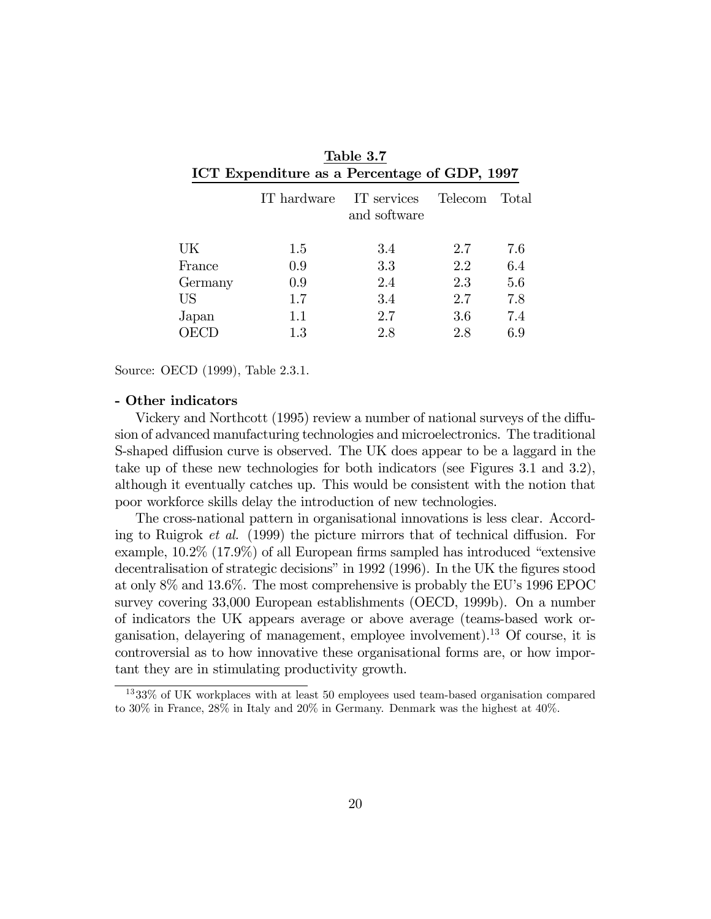| ICT Expenditure as a Percentage of GDP, 1997 |             |                             |         |       |  |
|----------------------------------------------|-------------|-----------------------------|---------|-------|--|
|                                              | IT hardware | IT services<br>and software | Telecom | Total |  |
| UK                                           | 1.5         | 3.4                         | 2.7     | 7.6   |  |
| France                                       | 0.9         | 3.3                         | 2.2     | 6.4   |  |
| Germany                                      | 0.9         | 2.4                         | 2.3     | 5.6   |  |
| <b>US</b>                                    | 1.7         | 3.4                         | 2.7     | 7.8   |  |
| Japan                                        | $1.1\,$     | 2.7                         | 3.6     | 7.4   |  |
| E)                                           | 1.3         | 2.8                         | 2.8     | 6.9   |  |

| Table 3.7                                    |  |
|----------------------------------------------|--|
| ICT Expenditure as a Percentage of GDP, 1997 |  |

Source: OECD (1999), Table 2.3.1.

#### - Other indicators

Vickery and Northcott (1995) review a number of national surveys of the diffusion of advanced manufacturing technologies and microelectronics. The traditional S-shaped diffusion curve is observed. The UK does appear to be a laggard in the take up of these new technologies for both indicators (see Figures 3.1 and 3.2), although it eventually catches up. This would be consistent with the notion that poor workforce skills delay the introduction of new technologies.

The cross-national pattern in organisational innovations is less clear. According to Ruigrok et al. (1999) the picture mirrors that of technical diffusion. For example, 10.2% (17.9%) of all European firms sampled has introduced "extensive decentralisation of strategic decisions" in 1992 (1996). In the UK the figures stood at only 8% and 13.6%. The most comprehensive is probably the EU's 1996 EPOC survey covering 33,000 European establishments (OECD, 1999b). On a number of indicators the UK appears average or above average (teams-based work organisation, delayering of management, employee involvement).13 Of course, it is controversial as to how innovative these organisational forms are, or how important they are in stimulating productivity growth.

<sup>13</sup> 33% of UK workplaces with at least 50 employees used team-based organisation compared to 30% in France, 28% in Italy and 20% in Germany. Denmark was the highest at 40%.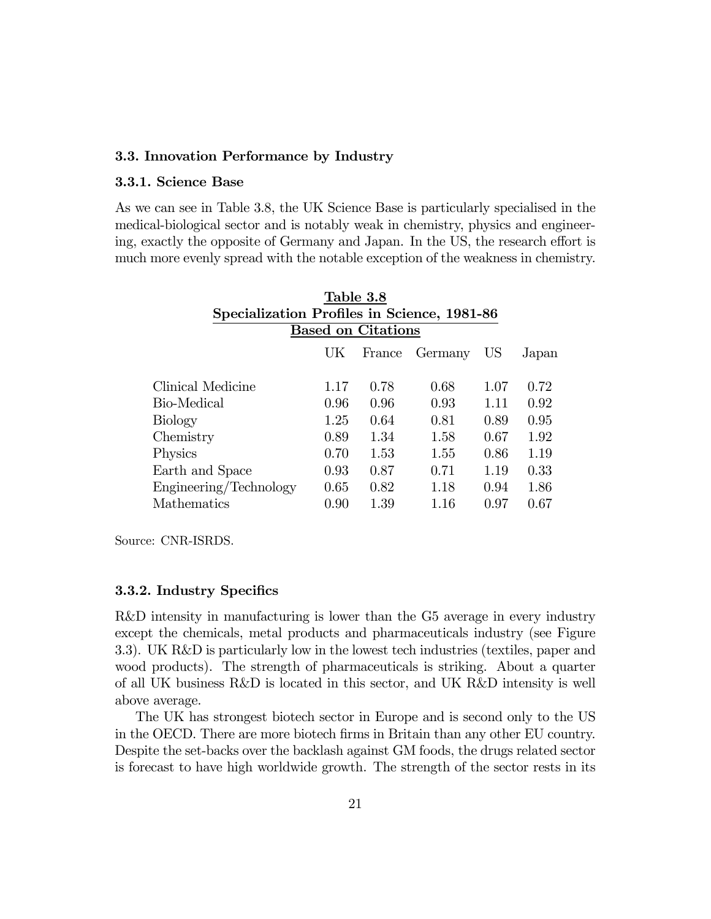#### 3.3. Innovation Performance by Industry

#### 3.3.1. Science Base

As we can see in Table 3.8, the UK Science Base is particularly specialised in the medical-biological sector and is notably weak in chemistry, physics and engineering, exactly the opposite of Germany and Japan. In the US, the research effort is much more evenly spread with the notable exception of the weakness in chemistry.

|                                             |      | Table 3.8                 |         |      |       |
|---------------------------------------------|------|---------------------------|---------|------|-------|
| Specialization Profiles in Science, 1981-86 |      |                           |         |      |       |
|                                             |      | <b>Based on Citations</b> |         |      |       |
|                                             | UK   | France                    | Germany | US   | Japan |
|                                             |      |                           |         |      |       |
| Clinical Medicine                           | 1.17 | 0.78                      | 0.68    | 1.07 | 0.72  |
| Bio-Medical                                 | 0.96 | 0.96                      | 0.93    | 1.11 | 0.92  |
| Biology                                     | 1.25 | 0.64                      | 0.81    | 0.89 | 0.95  |
| Chemistry                                   | 0.89 | 1.34                      | 1.58    | 0.67 | 1.92  |
| Physics                                     | 0.70 | 1.53                      | 1.55    | 0.86 | 1.19  |
| Earth and Space                             | 0.93 | 0.87                      | 0.71    | 1.19 | 0.33  |
| Engineering/Technology                      | 0.65 | 0.82                      | 1.18    | 0.94 | 1.86  |
| Mathematics                                 | 0.90 | 1.39                      | 1.16    | 0.97 | 0.67  |
|                                             |      |                           |         |      |       |

Source: CNR-ISRDS.

#### 3.3.2. Industry Specifics

R&D intensity in manufacturing is lower than the G5 average in every industry except the chemicals, metal products and pharmaceuticals industry (see Figure 3.3). UK R&D is particularly low in the lowest tech industries (textiles, paper and wood products). The strength of pharmaceuticals is striking. About a quarter of all UK business R&D is located in this sector, and UK R&D intensity is well above average.

The UK has strongest biotech sector in Europe and is second only to the US in the OECD. There are more biotech firms in Britain than any other EU country. Despite the set-backs over the backlash against GM foods, the drugs related sector is forecast to have high worldwide growth. The strength of the sector rests in its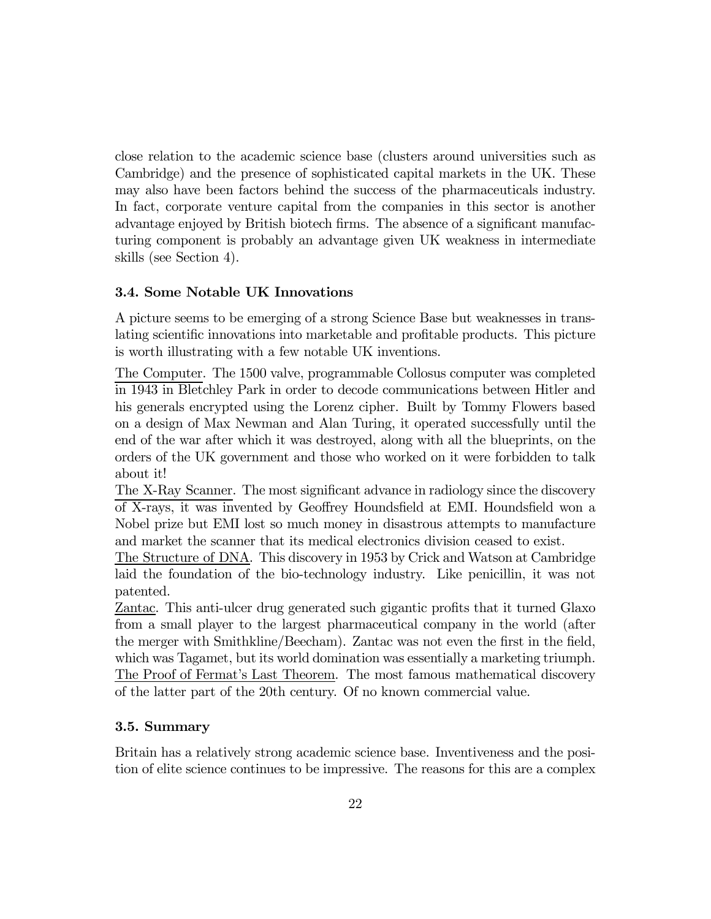close relation to the academic science base (clusters around universities such as Cambridge) and the presence of sophisticated capital markets in the UK. These may also have been factors behind the success of the pharmaceuticals industry. In fact, corporate venture capital from the companies in this sector is another advantage enjoyed by British biotech firms. The absence of a significant manufacturing component is probably an advantage given UK weakness in intermediate skills (see Section 4).

#### 3.4. Some Notable UK Innovations

A picture seems to be emerging of a strong Science Base but weaknesses in translating scientific innovations into marketable and profitable products. This picture is worth illustrating with a few notable UK inventions.

The Computer. The 1500 valve, programmable Collosus computer was completed in 1943 in Bletchley Park in order to decode communications between Hitler and his generals encrypted using the Lorenz cipher. Built by Tommy Flowers based on a design of Max Newman and Alan Turing, it operated successfully until the end of the war after which it was destroyed, along with all the blueprints, on the orders of the UK government and those who worked on it were forbidden to talk about it!

The X-Ray Scanner. The most significant advance in radiology since the discovery of X-rays, it was invented by Geoffrey Houndsfield at EMI. Houndsfield won a Nobel prize but EMI lost so much money in disastrous attempts to manufacture and market the scanner that its medical electronics division ceased to exist.

The Structure of DNA. This discovery in 1953 by Crick and Watson at Cambridge laid the foundation of the bio-technology industry. Like penicillin, it was not patented.

Zantac. This anti-ulcer drug generated such gigantic profits that it turned Glaxo from a small player to the largest pharmaceutical company in the world (after the merger with Smithkline/Beecham). Zantac was not even the first in the field, which was Tagamet, but its world domination was essentially a marketing triumph. The Proof of Fermat's Last Theorem. The most famous mathematical discovery of the latter part of the 20th century. Of no known commercial value.

#### 3.5. Summary

Britain has a relatively strong academic science base. Inventiveness and the position of elite science continues to be impressive. The reasons for this are a complex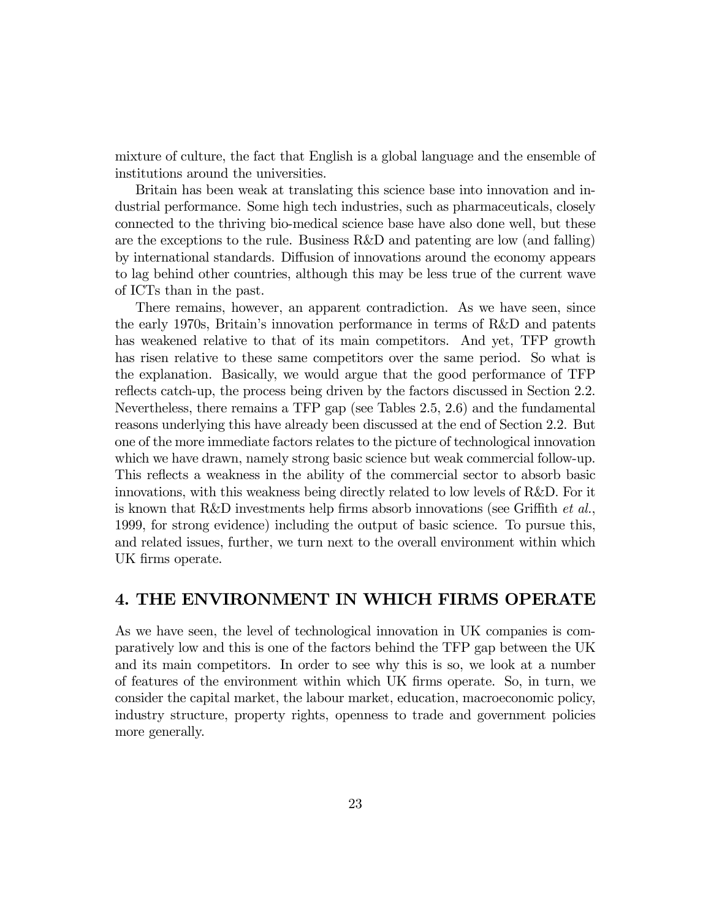mixture of culture, the fact that English is a global language and the ensemble of institutions around the universities.

Britain has been weak at translating this science base into innovation and industrial performance. Some high tech industries, such as pharmaceuticals, closely connected to the thriving bio-medical science base have also done well, but these are the exceptions to the rule. Business R&D and patenting are low (and falling) by international standards. Diffusion of innovations around the economy appears to lag behind other countries, although this may be less true of the current wave of ICTs than in the past.

There remains, however, an apparent contradiction. As we have seen, since the early 1970s, Britain's innovation performance in terms of R&D and patents has weakened relative to that of its main competitors. And yet, TFP growth has risen relative to these same competitors over the same period. So what is the explanation. Basically, we would argue that the good performance of TFP reflects catch-up, the process being driven by the factors discussed in Section 2.2. Nevertheless, there remains a TFP gap (see Tables 2.5, 2.6) and the fundamental reasons underlying this have already been discussed at the end of Section 2.2. But one of the more immediate factors relates to the picture of technological innovation which we have drawn, namely strong basic science but weak commercial follow-up. This reflects a weakness in the ability of the commercial sector to absorb basic innovations, with this weakness being directly related to low levels of R&D. For it is known that R&D investments help firms absorb innovations (see Griffith  $et al.$ ) 1999, for strong evidence) including the output of basic science. To pursue this, and related issues, further, we turn next to the overall environment within which UK firms operate.

### 4. THE ENVIRONMENT IN WHICH FIRMS OPERATE

As we have seen, the level of technological innovation in UK companies is comparatively low and this is one of the factors behind the TFP gap between the UK and its main competitors. In order to see why this is so, we look at a number of features of the environment within which UK firms operate. So, in turn, we consider the capital market, the labour market, education, macroeconomic policy, industry structure, property rights, openness to trade and government policies more generally.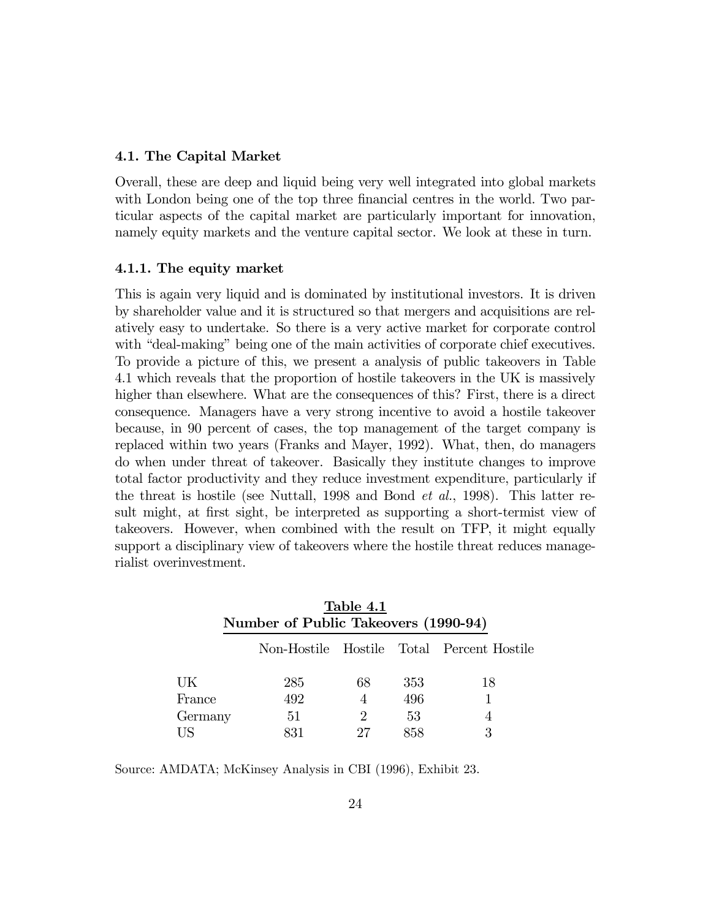#### 4.1. The Capital Market

Overall, these are deep and liquid being very well integrated into global markets with London being one of the top three financial centres in the world. Two particular aspects of the capital market are particularly important for innovation, namely equity markets and the venture capital sector. We look at these in turn.

#### 4.1.1. The equity market

This is again very liquid and is dominated by institutional investors. It is driven by shareholder value and it is structured so that mergers and acquisitions are relatively easy to undertake. So there is a very active market for corporate control with "deal-making" being one of the main activities of corporate chief executives. To provide a picture of this, we present a analysis of public takeovers in Table 4.1 which reveals that the proportion of hostile takeovers in the UK is massively higher than elsewhere. What are the consequences of this? First, there is a direct consequence. Managers have a very strong incentive to avoid a hostile takeover because, in 90 percent of cases, the top management of the target company is replaced within two years (Franks and Mayer, 1992). What, then, do managers do when under threat of takeover. Basically they institute changes to improve total factor productivity and they reduce investment expenditure, particularly if the threat is hostile (see Nuttall, 1998 and Bond et al., 1998). This latter result might, at first sight, be interpreted as supporting a short-termist view of takeovers. However, when combined with the result on TFP, it might equally support a disciplinary view of takeovers where the hostile threat reduces managerialist overinvestment.

|         | Number of Public Takeovers (1990-94) | Table 4.1     |     |                                           |
|---------|--------------------------------------|---------------|-----|-------------------------------------------|
|         |                                      |               |     | Non-Hostile Hostile Total Percent Hostile |
| UK      | 285                                  | 68            | 353 | 18                                        |
| France  | 492                                  | 4             | 496 |                                           |
| Germany | 51                                   | $\mathcal{L}$ | 53  |                                           |
| US      | 831                                  |               | 858 | 3                                         |

Source: AMDATA; McKinsey Analysis in CBI (1996), Exhibit 23.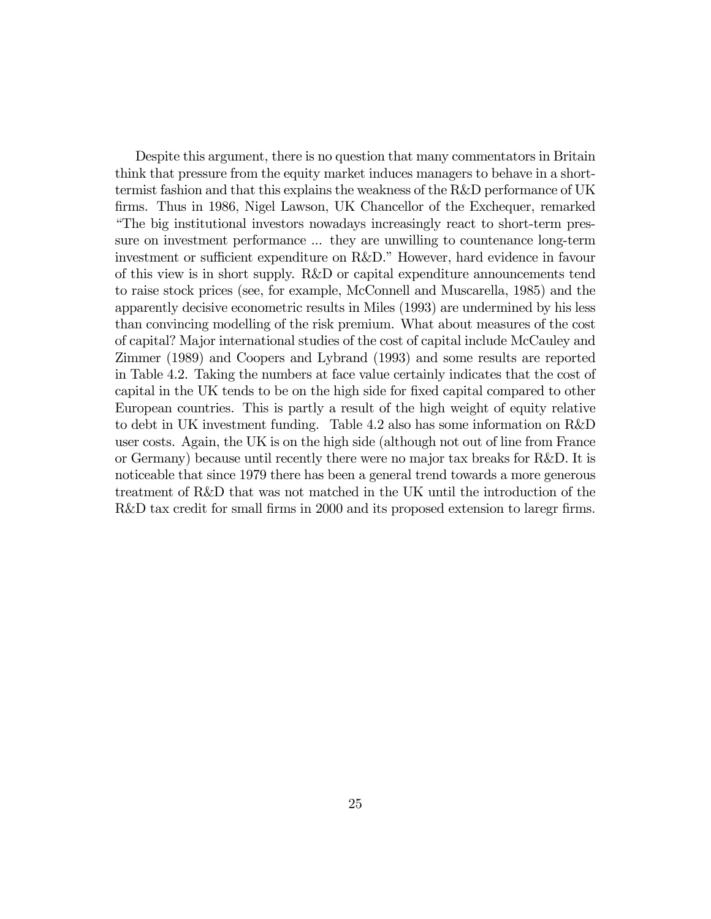Despite this argument, there is no question that many commentators in Britain think that pressure from the equity market induces managers to behave in a shorttermist fashion and that this explains the weakness of the R&D performance of UK firms. Thus in 1986, Nigel Lawson, UK Chancellor of the Exchequer, remarked "The big institutional investors nowadays increasingly react to short-term pressure on investment performance ... they are unwilling to countenance long-term investment or sufficient expenditure on R&D." However, hard evidence in favour of this view is in short supply. R&D or capital expenditure announcements tend to raise stock prices (see, for example, McConnell and Muscarella, 1985) and the apparently decisive econometric results in Miles (1993) are undermined by his less than convincing modelling of the risk premium. What about measures of the cost of capital? Major international studies of the cost of capital include McCauley and Zimmer (1989) and Coopers and Lybrand (1993) and some results are reported in Table 4.2. Taking the numbers at face value certainly indicates that the cost of capital in the UK tends to be on the high side for fixed capital compared to other European countries. This is partly a result of the high weight of equity relative to debt in UK investment funding. Table 4.2 also has some information on R&D user costs. Again, the UK is on the high side (although not out of line from France or Germany) because until recently there were no major tax breaks for R&D. It is noticeable that since 1979 there has been a general trend towards a more generous treatment of R&D that was not matched in the UK until the introduction of the R&D tax credit for small firms in 2000 and its proposed extension to laregr firms.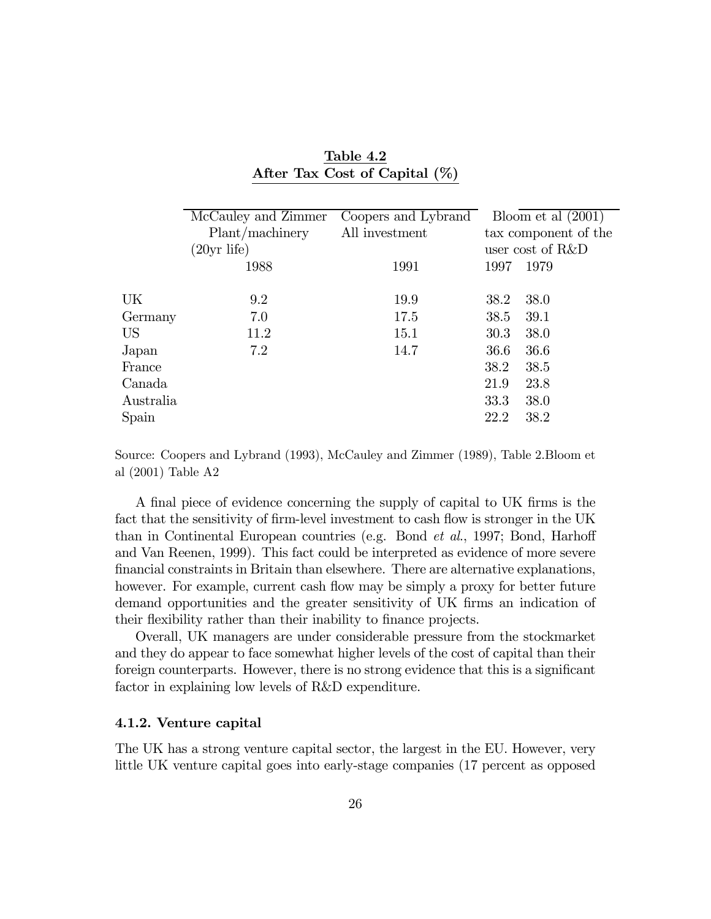|           | McCauley and Zimmer | Coopers and Lybrand | Bloom et al $(2001)$ |  |
|-----------|---------------------|---------------------|----------------------|--|
|           | Plant/machinery     | All investment      | tax component of the |  |
|           | $(20yr$ life)       |                     | user cost of R&D     |  |
|           | 1988                | 1991                | 1979<br>1997         |  |
|           |                     |                     |                      |  |
| UK        | 9.2                 | 19.9                | 38.0<br>38.2         |  |
| Germany   | 7.0                 | 17.5                | 39.1<br>38.5         |  |
| <b>US</b> | 11.2                | 15.1                | 30.3<br>38.0         |  |
| Japan     | 7.2                 | 14.7                | 36.6<br>36.6         |  |
| France    |                     |                     | 38.2<br>38.5         |  |
| Canada    |                     |                     | 23.8<br>21.9         |  |
| Australia |                     |                     | 33.3<br>38.0         |  |
| Spain     |                     |                     | 22.2<br>38.2         |  |

Table 4.2 After Tax Cost of Capital (%)

Source: Coopers and Lybrand (1993), McCauley and Zimmer (1989), Table 2.Bloom et al (2001) Table A2

A final piece of evidence concerning the supply of capital to UK firms is the fact that the sensitivity of firm-level investment to cash flow is stronger in the UK than in Continental European countries (e.g. Bond et al., 1997; Bond, Harhoff and Van Reenen, 1999). This fact could be interpreted as evidence of more severe financial constraints in Britain than elsewhere. There are alternative explanations, however. For example, current cash flow may be simply a proxy for better future demand opportunities and the greater sensitivity of UK firms an indication of their flexibility rather than their inability to finance projects.

Overall, UK managers are under considerable pressure from the stockmarket and they do appear to face somewhat higher levels of the cost of capital than their foreign counterparts. However, there is no strong evidence that this is a significant factor in explaining low levels of R&D expenditure.

#### 4.1.2. Venture capital

The UK has a strong venture capital sector, the largest in the EU. However, very little UK venture capital goes into early-stage companies (17 percent as opposed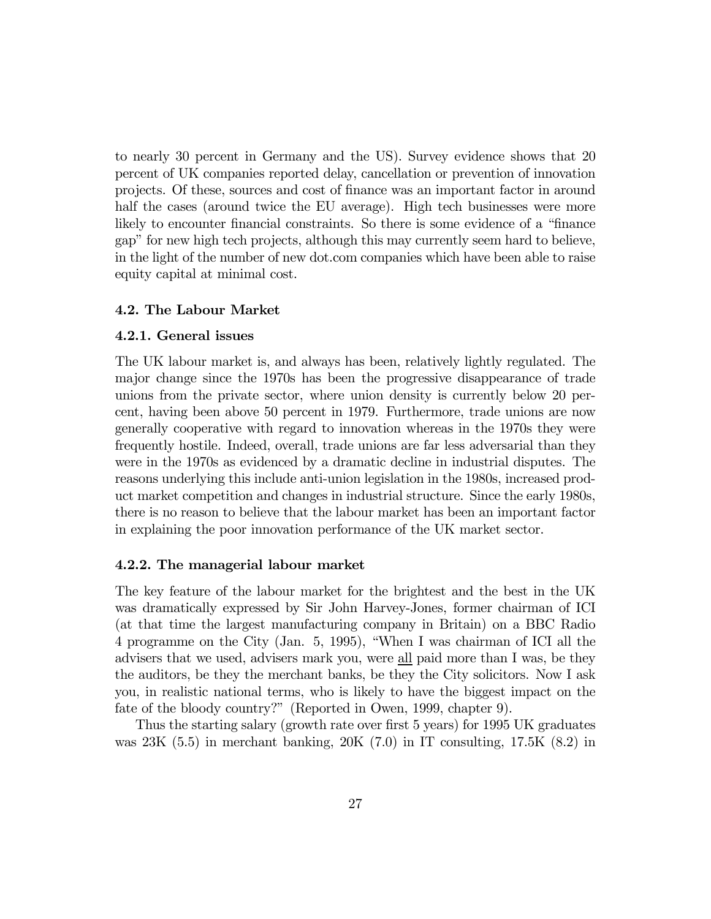to nearly 30 percent in Germany and the US). Survey evidence shows that 20 percent of UK companies reported delay, cancellation or prevention of innovation projects. Of these, sources and cost of finance was an important factor in around half the cases (around twice the EU average). High tech businesses were more likely to encounter financial constraints. So there is some evidence of a "finance gap" for new high tech projects, although this may currently seem hard to believe, in the light of the number of new dot.com companies which have been able to raise equity capital at minimal cost.

#### 4.2. The Labour Market

#### 4.2.1. General issues

The UK labour market is, and always has been, relatively lightly regulated. The major change since the 1970s has been the progressive disappearance of trade unions from the private sector, where union density is currently below 20 percent, having been above 50 percent in 1979. Furthermore, trade unions are now generally cooperative with regard to innovation whereas in the 1970s they were frequently hostile. Indeed, overall, trade unions are far less adversarial than they were in the 1970s as evidenced by a dramatic decline in industrial disputes. The reasons underlying this include anti-union legislation in the 1980s, increased product market competition and changes in industrial structure. Since the early 1980s, there is no reason to believe that the labour market has been an important factor in explaining the poor innovation performance of the UK market sector.

#### 4.2.2. The managerial labour market

The key feature of the labour market for the brightest and the best in the UK was dramatically expressed by Sir John Harvey-Jones, former chairman of ICI (at that time the largest manufacturing company in Britain) on a BBC Radio 4 programme on the City (Jan. 5, 1995), "When I was chairman of ICI all the advisers that we used, advisers mark you, were all paid more than I was, be they the auditors, be they the merchant banks, be they the City solicitors. Now I ask you, in realistic national terms, who is likely to have the biggest impact on the fate of the bloody country?" (Reported in Owen, 1999, chapter 9).

Thus the starting salary (growth rate over first 5 years) for 1995 UK graduates was 23K (5.5) in merchant banking, 20K (7.0) in IT consulting, 17.5K (8.2) in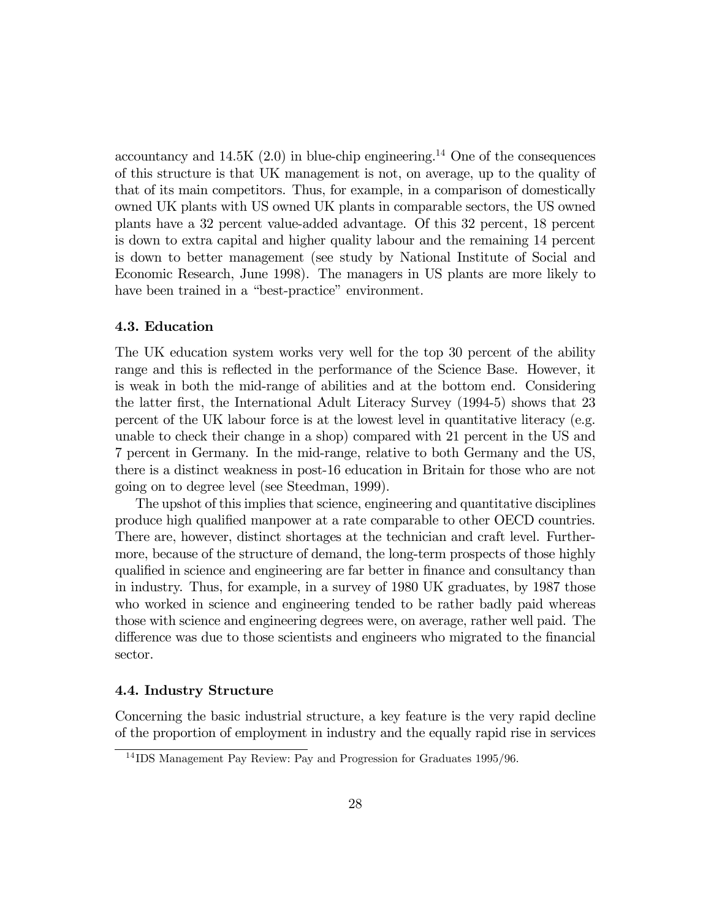accountancy and  $14.5K(2.0)$  in blue-chip engineering.<sup>14</sup> One of the consequences of this structure is that UK management is not, on average, up to the quality of that of its main competitors. Thus, for example, in a comparison of domestically owned UK plants with US owned UK plants in comparable sectors, the US owned plants have a 32 percent value-added advantage. Of this 32 percent, 18 percent is down to extra capital and higher quality labour and the remaining 14 percent is down to better management (see study by National Institute of Social and Economic Research, June 1998). The managers in US plants are more likely to have been trained in a "best-practice" environment.

#### 4.3. Education

The UK education system works very well for the top 30 percent of the ability range and this is reflected in the performance of the Science Base. However, it is weak in both the mid-range of abilities and at the bottom end. Considering the latter first, the International Adult Literacy Survey (1994-5) shows that 23 percent of the UK labour force is at the lowest level in quantitative literacy (e.g. unable to check their change in a shop) compared with 21 percent in the US and 7 percent in Germany. In the mid-range, relative to both Germany and the US, there is a distinct weakness in post-16 education in Britain for those who are not going on to degree level (see Steedman, 1999).

The upshot of this implies that science, engineering and quantitative disciplines produce high qualified manpower at a rate comparable to other OECD countries. There are, however, distinct shortages at the technician and craft level. Furthermore, because of the structure of demand, the long-term prospects of those highly qualified in science and engineering are far better in finance and consultancy than in industry. Thus, for example, in a survey of 1980 UK graduates, by 1987 those who worked in science and engineering tended to be rather badly paid whereas those with science and engineering degrees were, on average, rather well paid. The difference was due to those scientists and engineers who migrated to the financial sector.

#### 4.4. Industry Structure

Concerning the basic industrial structure, a key feature is the very rapid decline of the proportion of employment in industry and the equally rapid rise in services

<sup>14</sup> IDS Management Pay Review: Pay and Progression for Graduates 1995/96.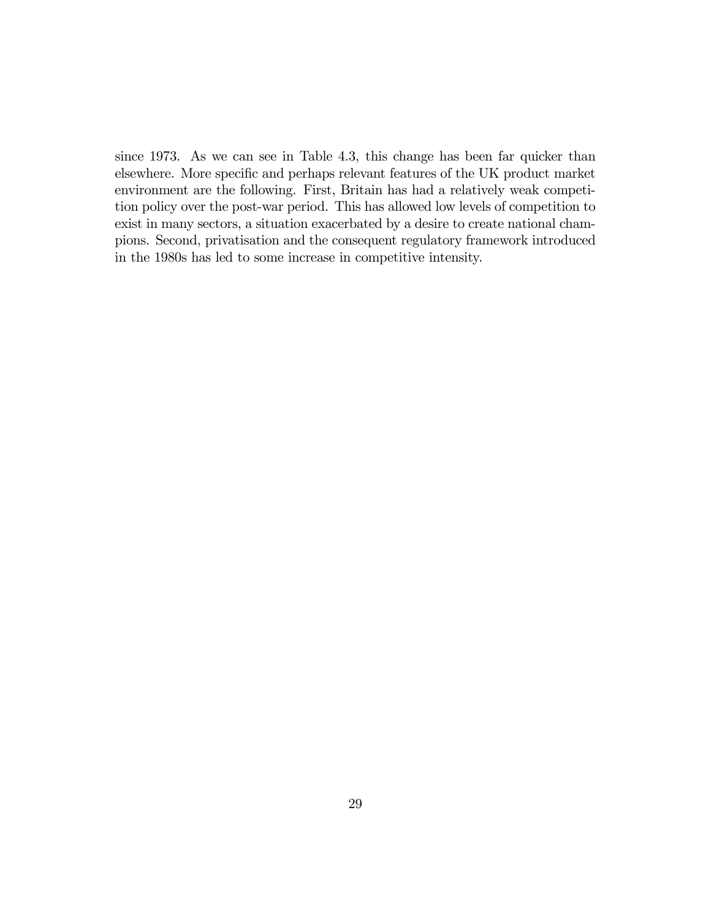since 1973. As we can see in Table 4.3, this change has been far quicker than elsewhere. More specific and perhaps relevant features of the UK product market environment are the following. First, Britain has had a relatively weak competition policy over the post-war period. This has allowed low levels of competition to exist in many sectors, a situation exacerbated by a desire to create national champions. Second, privatisation and the consequent regulatory framework introduced in the 1980s has led to some increase in competitive intensity.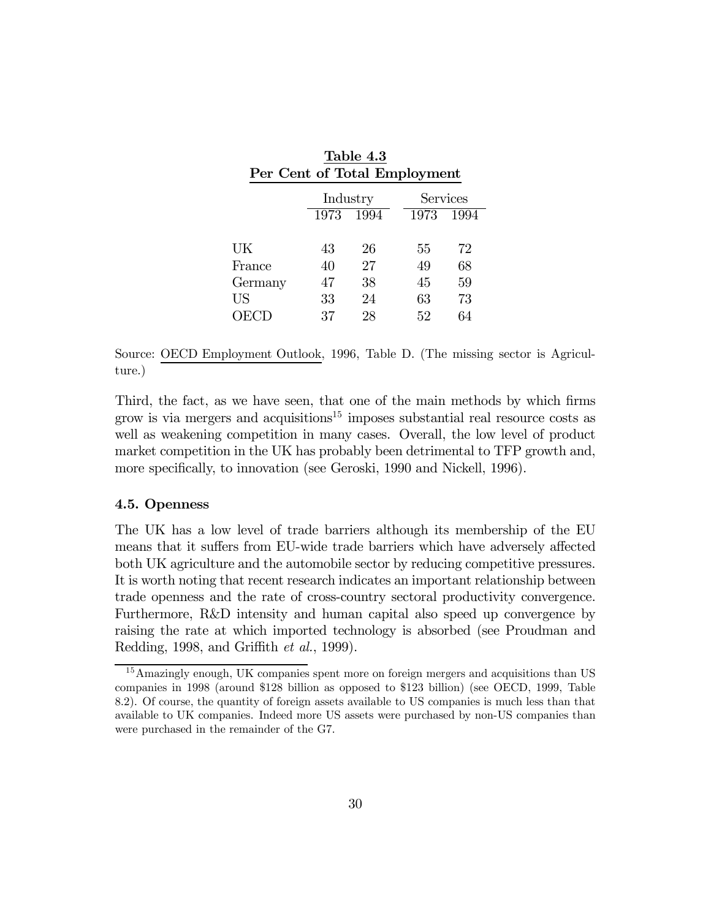| Per Cent of Total Employment |                |                |                |  |  |
|------------------------------|----------------|----------------|----------------|--|--|
|                              | Industry       |                | Services       |  |  |
| 1973                         | 1994           | 1973           | 1994           |  |  |
|                              |                |                |                |  |  |
|                              |                |                | 72<br>68       |  |  |
|                              |                |                | 59             |  |  |
| 33                           | 24             | 63             | 73             |  |  |
| 37                           | 28             | 52             | 64             |  |  |
|                              | 43<br>40<br>47 | 26<br>27<br>38 | 55<br>49<br>45 |  |  |

Table 4.3

Source: OECD Employment Outlook, 1996, Table D. (The missing sector is Agriculture.)

Third, the fact, as we have seen, that one of the main methods by which firms grow is via mergers and acquisitions<sup>15</sup> imposes substantial real resource costs as well as weakening competition in many cases. Overall, the low level of product market competition in the UK has probably been detrimental to TFP growth and, more specifically, to innovation (see Geroski, 1990 and Nickell, 1996).

#### 4.5. Openness

The UK has a low level of trade barriers although its membership of the EU means that it suffers from EU-wide trade barriers which have adversely affected both UK agriculture and the automobile sector by reducing competitive pressures. It is worth noting that recent research indicates an important relationship between trade openness and the rate of cross-country sectoral productivity convergence. Furthermore, R&D intensity and human capital also speed up convergence by raising the rate at which imported technology is absorbed (see Proudman and Redding, 1998, and Griffith et al., 1999).

<sup>&</sup>lt;sup>15</sup>Amazingly enough, UK companies spent more on foreign mergers and acquisitions than US companies in 1998 (around \$128 billion as opposed to \$123 billion) (see OECD, 1999, Table 8.2). Of course, the quantity of foreign assets available to US companies is much less than that available to UK companies. Indeed more US assets were purchased by non-US companies than were purchased in the remainder of the G7.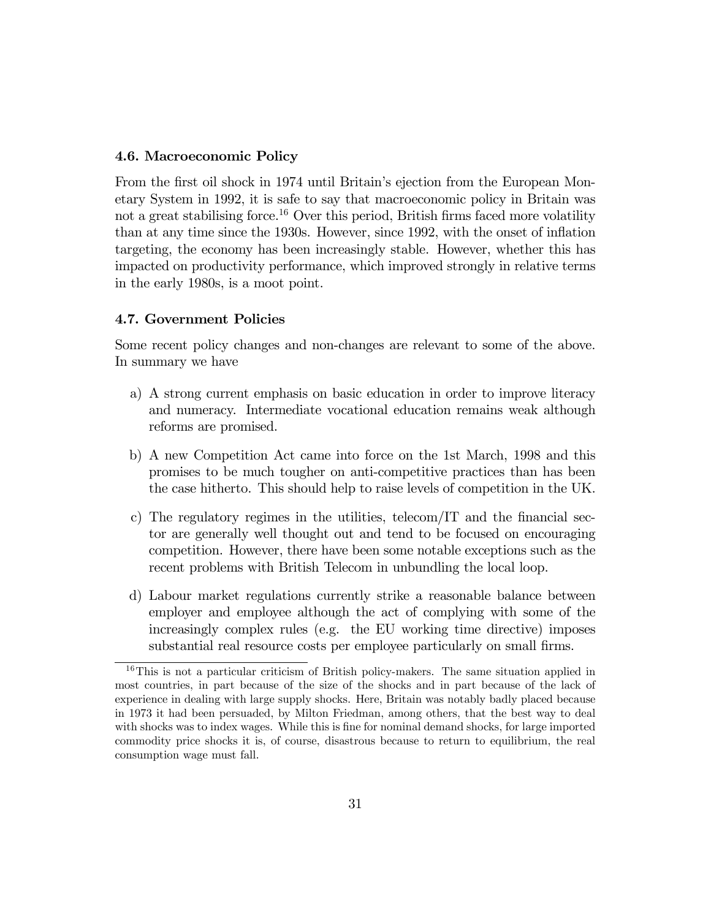#### 4.6. Macroeconomic Policy

From the first oil shock in 1974 until Britain's ejection from the European Monetary System in 1992, it is safe to say that macroeconomic policy in Britain was not a great stabilising force.<sup>16</sup> Over this period, British firms faced more volatility than at any time since the 1930s. However, since 1992, with the onset of inflation targeting, the economy has been increasingly stable. However, whether this has impacted on productivity performance, which improved strongly in relative terms in the early 1980s, is a moot point.

#### 4.7. Government Policies

Some recent policy changes and non-changes are relevant to some of the above. In summary we have

- a) A strong current emphasis on basic education in order to improve literacy and numeracy. Intermediate vocational education remains weak although reforms are promised.
- b) A new Competition Act came into force on the 1st March, 1998 and this promises to be much tougher on anti-competitive practices than has been the case hitherto. This should help to raise levels of competition in the UK.
- c) The regulatory regimes in the utilities, telecom/IT and the financial sector are generally well thought out and tend to be focused on encouraging competition. However, there have been some notable exceptions such as the recent problems with British Telecom in unbundling the local loop.
- d) Labour market regulations currently strike a reasonable balance between employer and employee although the act of complying with some of the increasingly complex rules (e.g. the EU working time directive) imposes substantial real resource costs per employee particularly on small firms.

<sup>&</sup>lt;sup>16</sup>This is not a particular criticism of British policy-makers. The same situation applied in most countries, in part because of the size of the shocks and in part because of the lack of experience in dealing with large supply shocks. Here, Britain was notably badly placed because in 1973 it had been persuaded, by Milton Friedman, among others, that the best way to deal with shocks was to index wages. While this is fine for nominal demand shocks, for large imported commodity price shocks it is, of course, disastrous because to return to equilibrium, the real consumption wage must fall.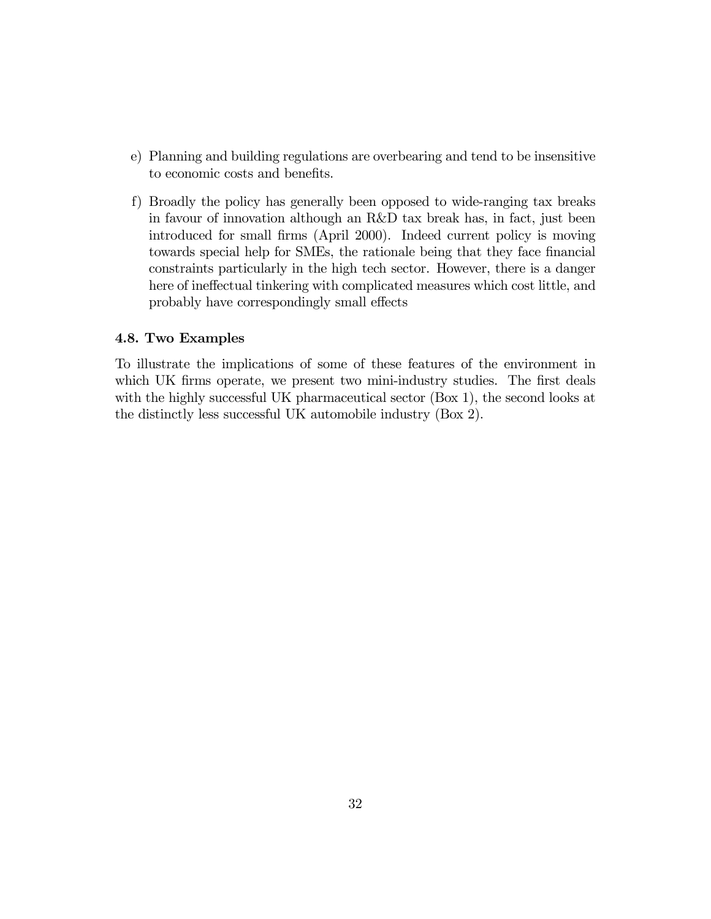- e) Planning and building regulations are overbearing and tend to be insensitive to economic costs and benefits.
- f) Broadly the policy has generally been opposed to wide-ranging tax breaks in favour of innovation although an R&D tax break has, in fact, just been introduced for small firms (April 2000). Indeed current policy is moving towards special help for SMEs, the rationale being that they face financial constraints particularly in the high tech sector. However, there is a danger here of ineffectual tinkering with complicated measures which cost little, and probably have correspondingly small effects

#### 4.8. Two Examples

To illustrate the implications of some of these features of the environment in which UK firms operate, we present two mini-industry studies. The first deals with the highly successful UK pharmaceutical sector (Box 1), the second looks at the distinctly less successful UK automobile industry (Box 2).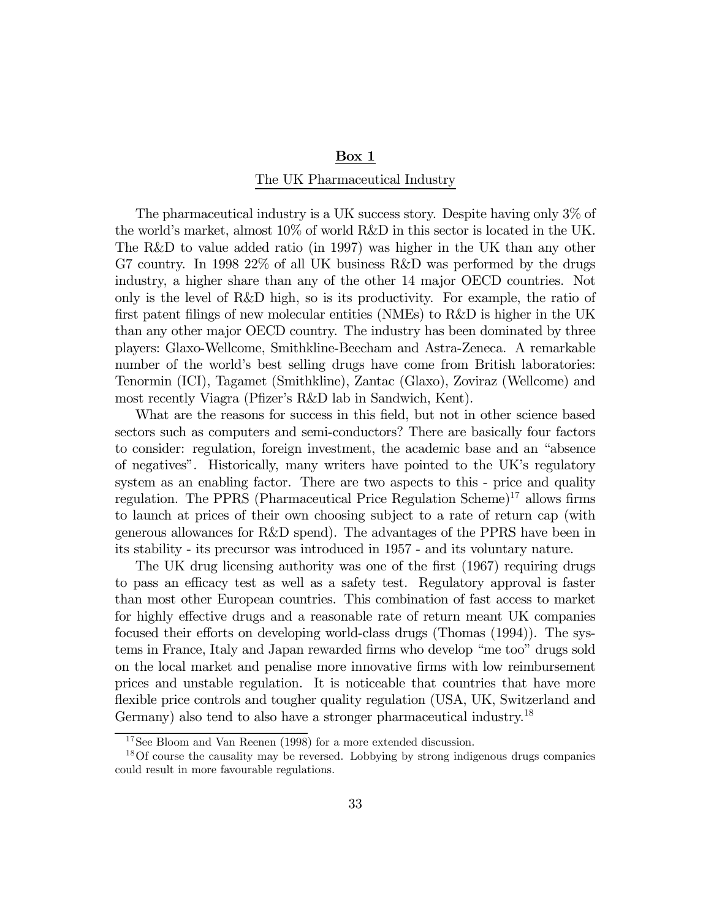#### $Box 1$

#### The UK Pharmaceutical Industry

The pharmaceutical industry is a UK success story. Despite having only 3% of the world's market, almost 10% of world R&D in this sector is located in the UK. The R&D to value added ratio (in 1997) was higher in the UK than any other G7 country. In 1998 22% of all UK business R&D was performed by the drugs industry, a higher share than any of the other 14 major OECD countries. Not only is the level of R&D high, so is its productivity. For example, the ratio of first patent filings of new molecular entities (NMEs) to R&D is higher in the UK than any other major OECD country. The industry has been dominated by three players: Glaxo-Wellcome, Smithkline-Beecham and Astra-Zeneca. A remarkable number of the world's best selling drugs have come from British laboratories: Tenormin (ICI), Tagamet (Smithkline), Zantac (Glaxo), Zoviraz (Wellcome) and most recently Viagra (Pfizer's R&D lab in Sandwich, Kent).

What are the reasons for success in this field, but not in other science based sectors such as computers and semi-conductors? There are basically four factors to consider: regulation, foreign investment, the academic base and an "absence of negatives". Historically, many writers have pointed to the UK's regulatory system as an enabling factor. There are two aspects to this - price and quality regulation. The PPRS (Pharmaceutical Price Regulation Scheme)<sup>17</sup> allows firms to launch at prices of their own choosing subject to a rate of return cap (with generous allowances for R&D spend). The advantages of the PPRS have been in its stability - its precursor was introduced in 1957 - and its voluntary nature.

The UK drug licensing authority was one of the first (1967) requiring drugs to pass an efficacy test as well as a safety test. Regulatory approval is faster than most other European countries. This combination of fast access to market for highly effective drugs and a reasonable rate of return meant UK companies focused their efforts on developing world-class drugs (Thomas (1994)). The systems in France, Italy and Japan rewarded firms who develop "me too" drugs sold on the local market and penalise more innovative firms with low reimbursement prices and unstable regulation. It is noticeable that countries that have more flexible price controls and tougher quality regulation (USA, UK, Switzerland and Germany) also tend to also have a stronger pharmaceutical industry.<sup>18</sup>

<sup>&</sup>lt;sup>17</sup>See Bloom and Van Reenen (1998) for a more extended discussion.

<sup>&</sup>lt;sup>18</sup>Of course the causality may be reversed. Lobbying by strong indigenous drugs companies could result in more favourable regulations.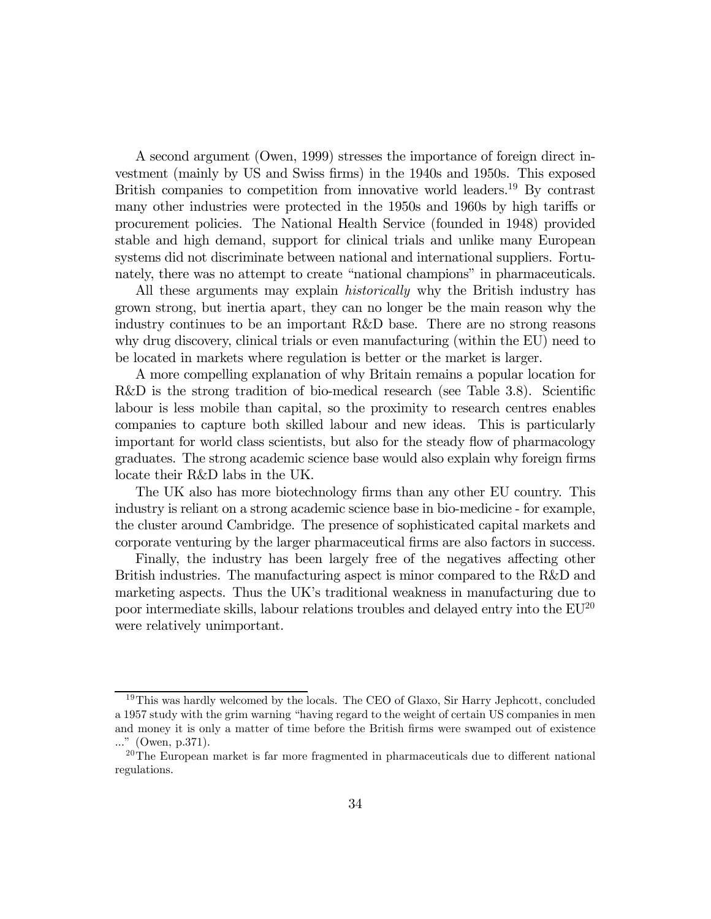A second argument (Owen, 1999) stresses the importance of foreign direct investment (mainly by US and Swiss firms) in the 1940s and 1950s. This exposed British companies to competition from innovative world leaders.<sup>19</sup> By contrast many other industries were protected in the 1950s and 1960s by high tariffs or procurement policies. The National Health Service (founded in 1948) provided stable and high demand, support for clinical trials and unlike many European systems did not discriminate between national and international suppliers. Fortunately, there was no attempt to create "national champions" in pharmaceuticals.

All these arguments may explain *historically* why the British industry has grown strong, but inertia apart, they can no longer be the main reason why the industry continues to be an important R&D base. There are no strong reasons why drug discovery, clinical trials or even manufacturing (within the EU) need to be located in markets where regulation is better or the market is larger.

A more compelling explanation of why Britain remains a popular location for R&D is the strong tradition of bio-medical research (see Table 3.8). Scientific labour is less mobile than capital, so the proximity to research centres enables companies to capture both skilled labour and new ideas. This is particularly important for world class scientists, but also for the steady flow of pharmacology graduates. The strong academic science base would also explain why foreign firms locate their R&D labs in the UK.

The UK also has more biotechnology firms than any other EU country. This industry is reliant on a strong academic science base in bio-medicine - for example, the cluster around Cambridge. The presence of sophisticated capital markets and corporate venturing by the larger pharmaceutical firms are also factors in success.

Finally, the industry has been largely free of the negatives affecting other British industries. The manufacturing aspect is minor compared to the R&D and marketing aspects. Thus the UK's traditional weakness in manufacturing due to poor intermediate skills, labour relations troubles and delayed entry into the EU20 were relatively unimportant.

<sup>&</sup>lt;sup>19</sup>This was hardly welcomed by the locals. The CEO of Glaxo, Sir Harry Jephcott, concluded a 1957 study with the grim warning "having regard to the weight of certain US companies in men and money it is only a matter of time before the British firms were swamped out of existence ..." (Owen, p.371).

 $20$ The European market is far more fragmented in pharmaceuticals due to different national regulations.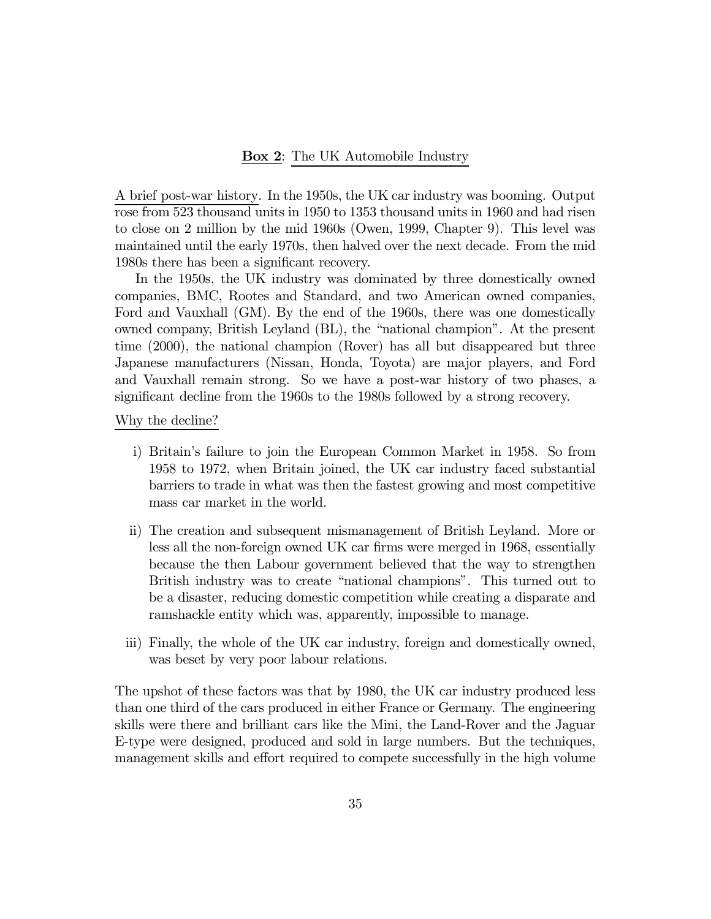#### **Box 2:** The UK Automobile Industry

A brief post-war history. In the 1950s, the UK car industry was booming. Output rose from 523 thousand units in 1950 to 1353 thousand units in 1960 and had risen to close on 2 million by the mid 1960s (Owen, 1999, Chapter 9). This level was maintained until the early 1970s, then halved over the next decade. From the mid 1980s there has been a significant recovery.

In the 1950s, the UK industry was dominated by three domestically owned companies, BMC, Rootes and Standard, and two American owned companies, Ford and Vauxhall (GM). By the end of the 1960s, there was one domestically owned company, British Leyland (BL), the "national champion". At the present time (2000), the national champion (Rover) has all but disappeared but three Japanese manufacturers (Nissan, Honda, Toyota) are major players, and Ford and Vauxhall remain strong. So we have a post-war history of two phases, a significant decline from the 1960s to the 1980s followed by a strong recovery.

#### Why the decline?

- i) Britain's failure to join the European Common Market in 1958. So from 1958 to 1972, when Britain joined, the UK car industry faced substantial barriers to trade in what was then the fastest growing and most competitive mass car market in the world.
- ii) The creation and subsequent mismanagement of British Leyland. More or less all the non-foreign owned UK car firms were merged in 1968, essentially because the then Labour government believed that the way to strengthen British industry was to create "national champions". This turned out to be a disaster, reducing domestic competition while creating a disparate and ramshackle entity which was, apparently, impossible to manage.
- iii) Finally, the whole of the UK car industry, foreign and domestically owned, was beset by very poor labour relations.

The upshot of these factors was that by 1980, the UK car industry produced less than one third of the cars produced in either France or Germany. The engineering skills were there and brilliant cars like the Mini, the Land-Rover and the Jaguar E-type were designed, produced and sold in large numbers. But the techniques, management skills and effort required to compete successfully in the high volume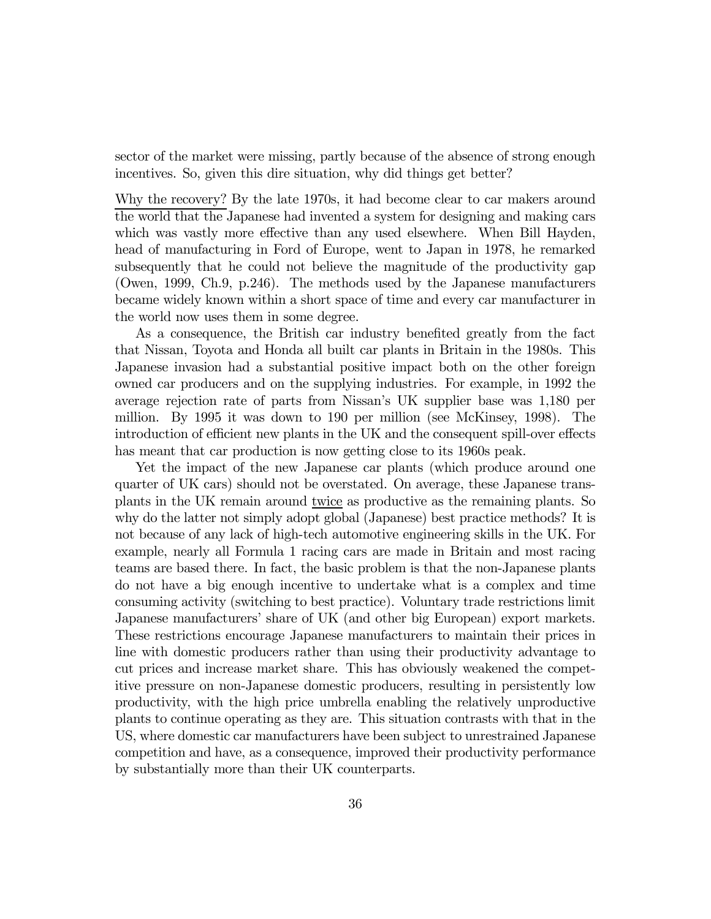sector of the market were missing, partly because of the absence of strong enough incentives. So, given this dire situation, why did things get better?

Why the recovery? By the late 1970s, it had become clear to car makers around the world that the Japanese had invented a system for designing and making cars which was vastly more effective than any used elsewhere. When Bill Hayden, head of manufacturing in Ford of Europe, went to Japan in 1978, he remarked subsequently that he could not believe the magnitude of the productivity gap (Owen, 1999, Ch.9, p.246). The methods used by the Japanese manufacturers became widely known within a short space of time and every car manufacturer in the world now uses them in some degree.

As a consequence, the British car industry benefited greatly from the fact that Nissan, Toyota and Honda all built car plants in Britain in the 1980s. This Japanese invasion had a substantial positive impact both on the other foreign owned car producers and on the supplying industries. For example, in 1992 the average rejection rate of parts from Nissan's UK supplier base was 1,180 per million. By 1995 it was down to 190 per million (see McKinsey, 1998). The introduction of efficient new plants in the UK and the consequent spill-over effects has meant that car production is now getting close to its 1960s peak.

Yet the impact of the new Japanese car plants (which produce around one quarter of UK cars) should not be overstated. On average, these Japanese transplants in the UK remain around twice as productive as the remaining plants. So why do the latter not simply adopt global (Japanese) best practice methods? It is not because of any lack of high-tech automotive engineering skills in the UK. For example, nearly all Formula 1 racing cars are made in Britain and most racing teams are based there. In fact, the basic problem is that the non-Japanese plants do not have a big enough incentive to undertake what is a complex and time consuming activity (switching to best practice). Voluntary trade restrictions limit Japanese manufacturers' share of UK (and other big European) export markets. These restrictions encourage Japanese manufacturers to maintain their prices in line with domestic producers rather than using their productivity advantage to cut prices and increase market share. This has obviously weakened the competitive pressure on non-Japanese domestic producers, resulting in persistently low productivity, with the high price umbrella enabling the relatively unproductive plants to continue operating as they are. This situation contrasts with that in the US, where domestic car manufacturers have been subject to unrestrained Japanese competition and have, as a consequence, improved their productivity performance by substantially more than their UK counterparts.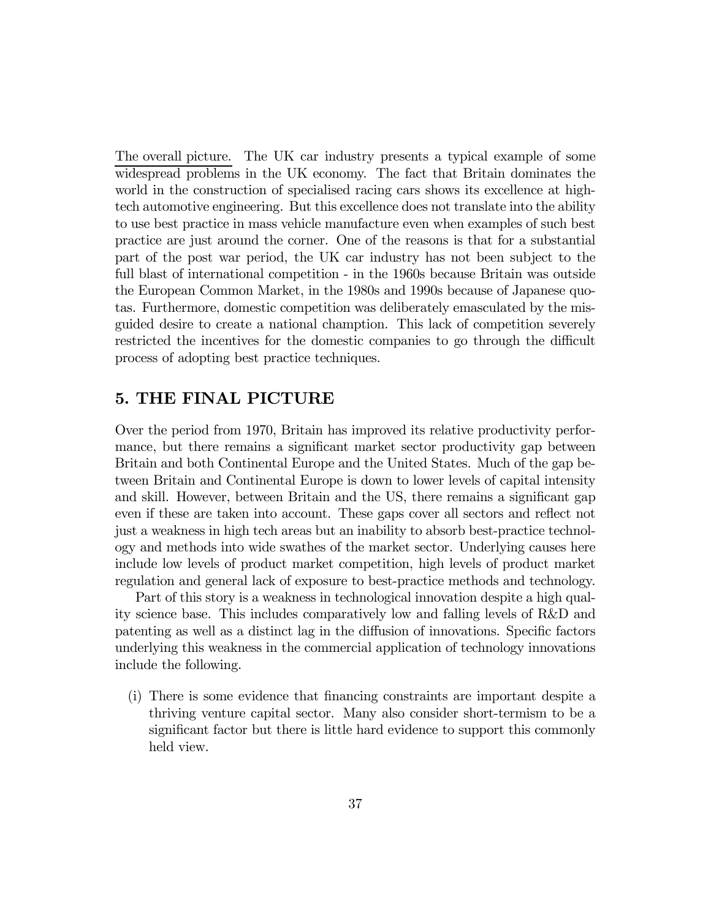The overall picture. The UK car industry presents a typical example of some widespread problems in the UK economy. The fact that Britain dominates the world in the construction of specialised racing cars shows its excellence at hightech automotive engineering. But this excellence does not translate into the ability to use best practice in mass vehicle manufacture even when examples of such best practice are just around the corner. One of the reasons is that for a substantial part of the post war period, the UK car industry has not been subject to the full blast of international competition - in the 1960s because Britain was outside the European Common Market, in the 1980s and 1990s because of Japanese quotas. Furthermore, domestic competition was deliberately emasculated by the misguided desire to create a national chamption. This lack of competition severely restricted the incentives for the domestic companies to go through the difficult process of adopting best practice techniques.

## 5. THE FINAL PICTURE

Over the period from 1970, Britain has improved its relative productivity performance, but there remains a significant market sector productivity gap between Britain and both Continental Europe and the United States. Much of the gap between Britain and Continental Europe is down to lower levels of capital intensity and skill. However, between Britain and the US, there remains a significant gap even if these are taken into account. These gaps cover all sectors and reflect not just a weakness in high tech areas but an inability to absorb best-practice technology and methods into wide swathes of the market sector. Underlying causes here include low levels of product market competition, high levels of product market regulation and general lack of exposure to best-practice methods and technology.

Part of this story is a weakness in technological innovation despite a high quality science base. This includes comparatively low and falling levels of R&D and patenting as well as a distinct lag in the diffusion of innovations. Specific factors underlying this weakness in the commercial application of technology innovations include the following.

(i) There is some evidence that financing constraints are important despite a thriving venture capital sector. Many also consider short-termism to be a significant factor but there is little hard evidence to support this commonly held view.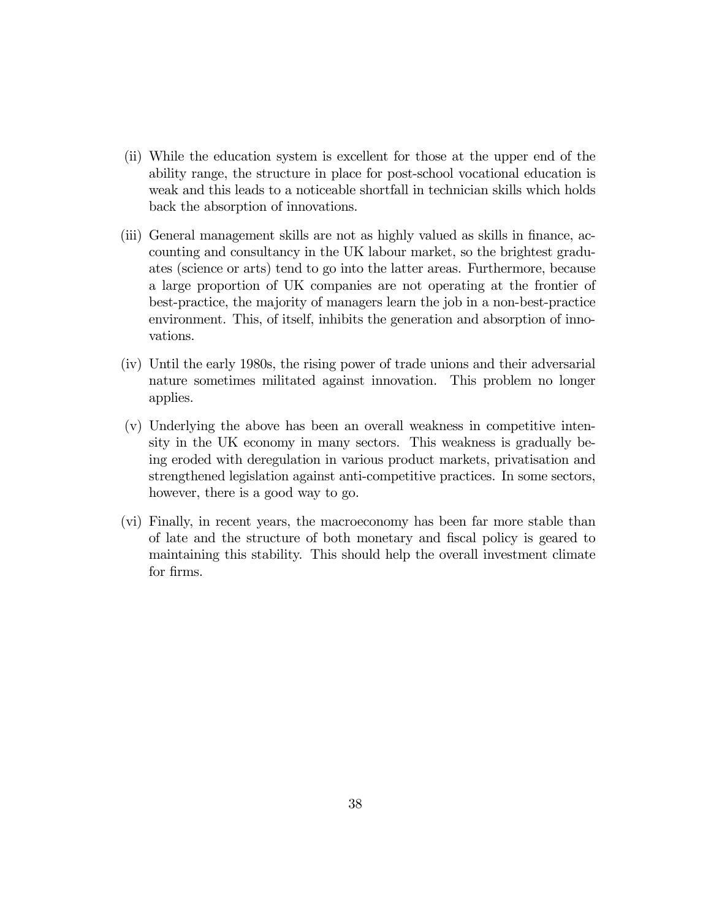- (ii) While the education system is excellent for those at the upper end of the ability range, the structure in place for post-school vocational education is weak and this leads to a noticeable shortfall in technician skills which holds back the absorption of innovations.
- (iii) General management skills are not as highly valued as skills in finance, accounting and consultancy in the UK labour market, so the brightest graduates (science or arts) tend to go into the latter areas. Furthermore, because a large proportion of UK companies are not operating at the frontier of best-practice, the majority of managers learn the job in a non-best-practice environment. This, of itself, inhibits the generation and absorption of innovations.
- (iv) Until the early 1980s, the rising power of trade unions and their adversarial nature sometimes militated against innovation. This problem no longer applies.
- (v) Underlying the above has been an overall weakness in competitive intensity in the UK economy in many sectors. This weakness is gradually being eroded with deregulation in various product markets, privatisation and strengthened legislation against anti-competitive practices. In some sectors, however, there is a good way to go.
- (vi) Finally, in recent years, the macroeconomy has been far more stable than of late and the structure of both monetary and fiscal policy is geared to maintaining this stability. This should help the overall investment climate for firms.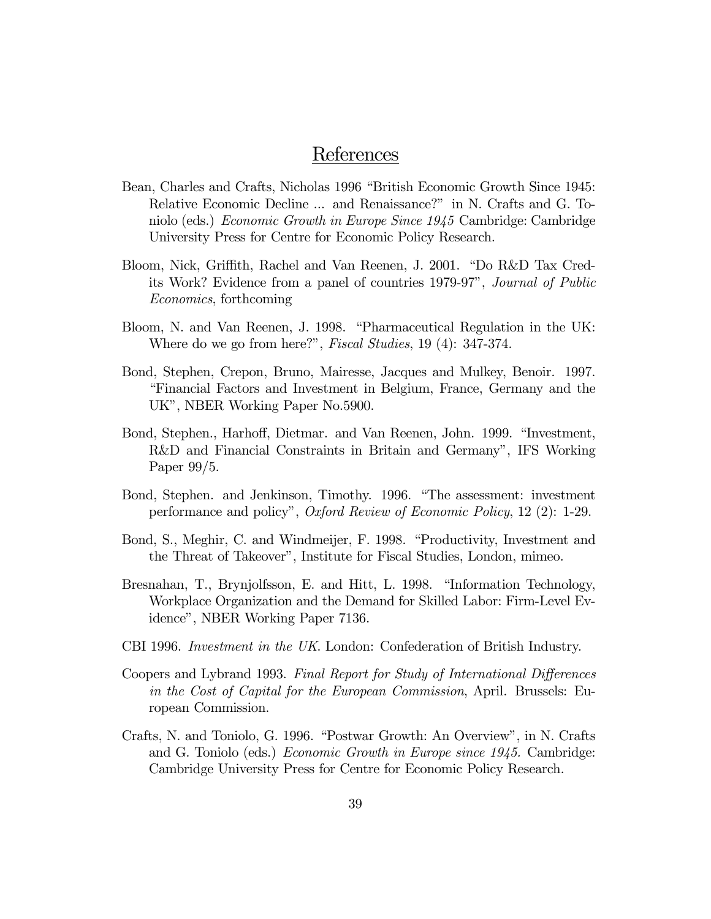## References

- Bean, Charles and Crafts, Nicholas 1996 "British Economic Growth Since 1945: Relative Economic Decline ... and Renaissance?" in N. Crafts and G. Toniolo (eds.) Economic Growth in Europe Since 1945 Cambridge: Cambridge University Press for Centre for Economic Policy Research.
- Bloom, Nick, Griffith, Rachel and Van Reenen, J. 2001. "Do R&D Tax Credits Work? Evidence from a panel of countries 1979-97", Journal of Public Economics, forthcoming
- Bloom, N. and Van Reenen, J. 1998. "Pharmaceutical Regulation in the UK: Where do we go from here?", Fiscal Studies, 19 (4): 347-374.
- Bond, Stephen, Crepon, Bruno, Mairesse, Jacques and Mulkey, Benoir. 1997. "Financial Factors and Investment in Belgium, France, Germany and the UK", NBER Working Paper No.5900.
- Bond, Stephen., Harhoff, Dietmar. and Van Reenen, John. 1999. "Investment, R&D and Financial Constraints in Britain and Germany", IFS Working Paper 99/5.
- Bond, Stephen. and Jenkinson, Timothy. 1996. "The assessment: investment performance and policy", Oxford Review of Economic Policy, 12 (2): 1-29.
- Bond, S., Meghir, C. and Windmeijer, F. 1998. "Productivity, Investment and the Threat of Takeover", Institute for Fiscal Studies, London, mimeo.
- Bresnahan, T., Brynjolfsson, E. and Hitt, L. 1998. "Information Technology, Workplace Organization and the Demand for Skilled Labor: Firm-Level Evidence", NBER Working Paper 7136.
- CBI 1996. Investment in the UK. London: Confederation of British Industry.
- Coopers and Lybrand 1993. Final Report for Study of International Differences in the Cost of Capital for the European Commission, April. Brussels: European Commission.
- Crafts, N. and Toniolo, G. 1996. "Postwar Growth: An Overview", in N. Crafts and G. Toniolo (eds.) Economic Growth in Europe since 1945. Cambridge: Cambridge University Press for Centre for Economic Policy Research.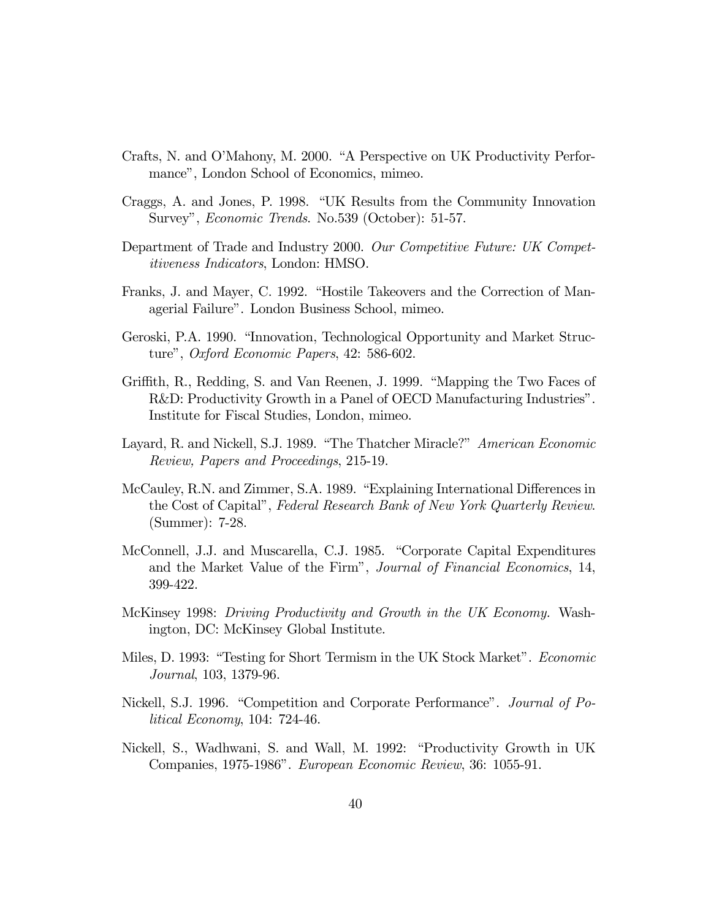- Crafts, N. and O'Mahony, M. 2000. "A Perspective on UK Productivity Performance", London School of Economics, mimeo.
- Craggs, A. and Jones, P. 1998. "UK Results from the Community Innovation Survey", Economic Trends. No.539 (October): 51-57.
- Department of Trade and Industry 2000. Our Competitive Future: UK Competitiveness Indicators, London: HMSO.
- Franks, J. and Mayer, C. 1992. "Hostile Takeovers and the Correction of Managerial Failure". London Business School, mimeo.
- Geroski, P.A. 1990. "Innovation, Technological Opportunity and Market Structure", Oxford Economic Papers, 42: 586-602.
- Griffith, R., Redding, S. and Van Reenen, J. 1999. "Mapping the Two Faces of R&D: Productivity Growth in a Panel of OECD Manufacturing Industries". Institute for Fiscal Studies, London, mimeo.
- Layard, R. and Nickell, S.J. 1989. "The Thatcher Miracle?" American Economic Review, Papers and Proceedings, 215-19.
- McCauley, R.N. and Zimmer, S.A. 1989. "Explaining International Differences in the Cost of Capital", Federal Research Bank of New York Quarterly Review. (Summer): 7-28.
- McConnell, J.J. and Muscarella, C.J. 1985. "Corporate Capital Expenditures and the Market Value of the Firm", Journal of Financial Economics, 14, 399-422.
- McKinsey 1998: Driving Productivity and Growth in the UK Economy. Washington, DC: McKinsey Global Institute.
- Miles, D. 1993: "Testing for Short Termism in the UK Stock Market". Economic Journal, 103, 1379-96.
- Nickell, S.J. 1996. "Competition and Corporate Performance". Journal of Political Economy, 104: 724-46.
- Nickell, S., Wadhwani, S. and Wall, M. 1992: "Productivity Growth in UK Companies, 1975-1986". European Economic Review, 36: 1055-91.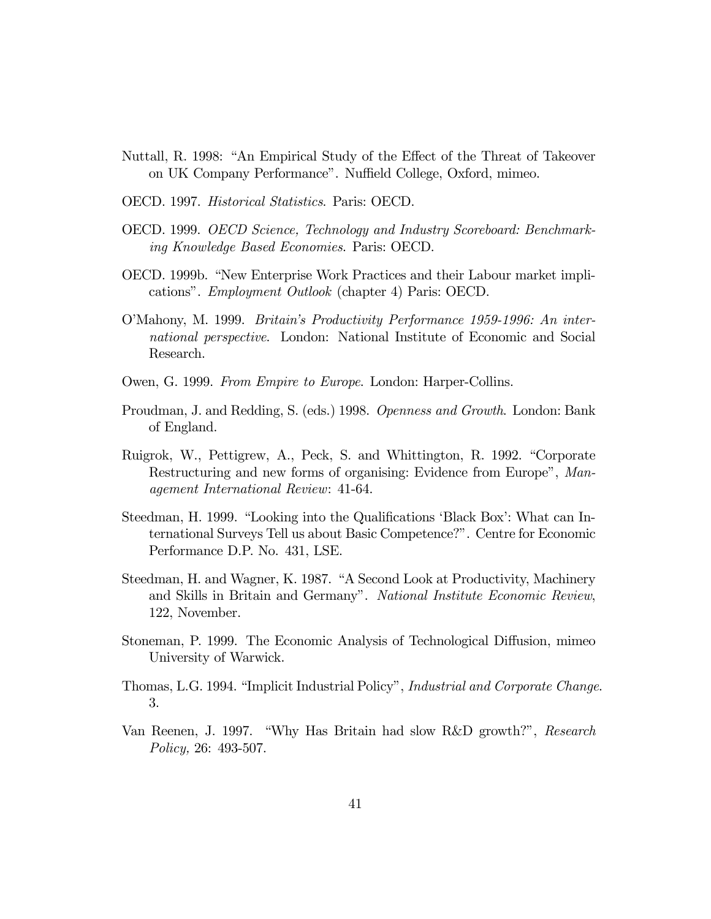- Nuttall, R. 1998: "An Empirical Study of the Effect of the Threat of Takeover on UK Company Performance". Nuffield College, Oxford, mimeo.
- OECD. 1997. Historical Statistics. Paris: OECD.
- OECD. 1999. OECD Science, Technology and Industry Scoreboard: Benchmarking Knowledge Based Economies. Paris: OECD.
- OECD. 1999b. "New Enterprise Work Practices and their Labour market implications". Employment Outlook (chapter 4) Paris: OECD.
- O'Mahony, M. 1999. Britain's Productivity Performance 1959-1996: An international perspective. London: National Institute of Economic and Social Research.
- Owen, G. 1999. From Empire to Europe. London: Harper-Collins.
- Proudman, J. and Redding, S. (eds.) 1998. Openness and Growth. London: Bank of England.
- Ruigrok, W., Pettigrew, A., Peck, S. and Whittington, R. 1992. "Corporate Restructuring and new forms of organising: Evidence from Europe", Management International Review: 41-64.
- Steedman, H. 1999. "Looking into the Qualifications 'Black Box': What can International Surveys Tell us about Basic Competence?". Centre for Economic Performance D.P. No. 431, LSE.
- Steedman, H. and Wagner, K. 1987. "A Second Look at Productivity, Machinery and Skills in Britain and Germany". National Institute Economic Review, 122, November.
- Stoneman, P. 1999. The Economic Analysis of Technological Diffusion, mimeo University of Warwick.
- Thomas, L.G. 1994. "Implicit Industrial Policy", Industrial and Corporate Change. 3.
- Van Reenen, J. 1997. "Why Has Britain had slow R&D growth?", Research Policy, 26: 493-507.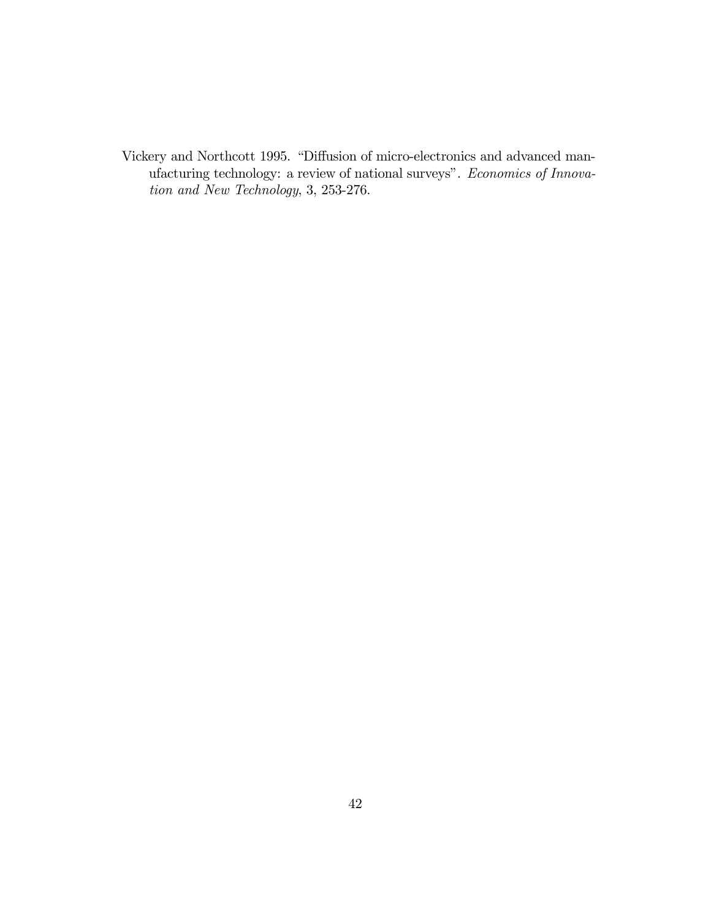Vickery and Northcott 1995. "Diffusion of micro-electronics and advanced manufacturing technology: a review of national surveys". Economics of Innovation and New Technology, 3, 253-276.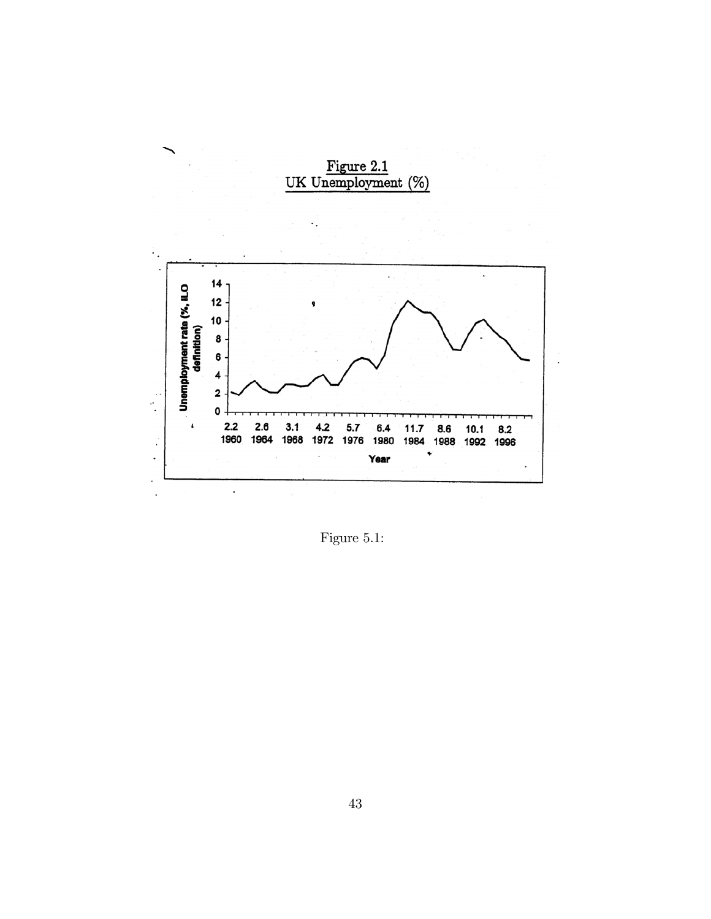

Figure 5.1: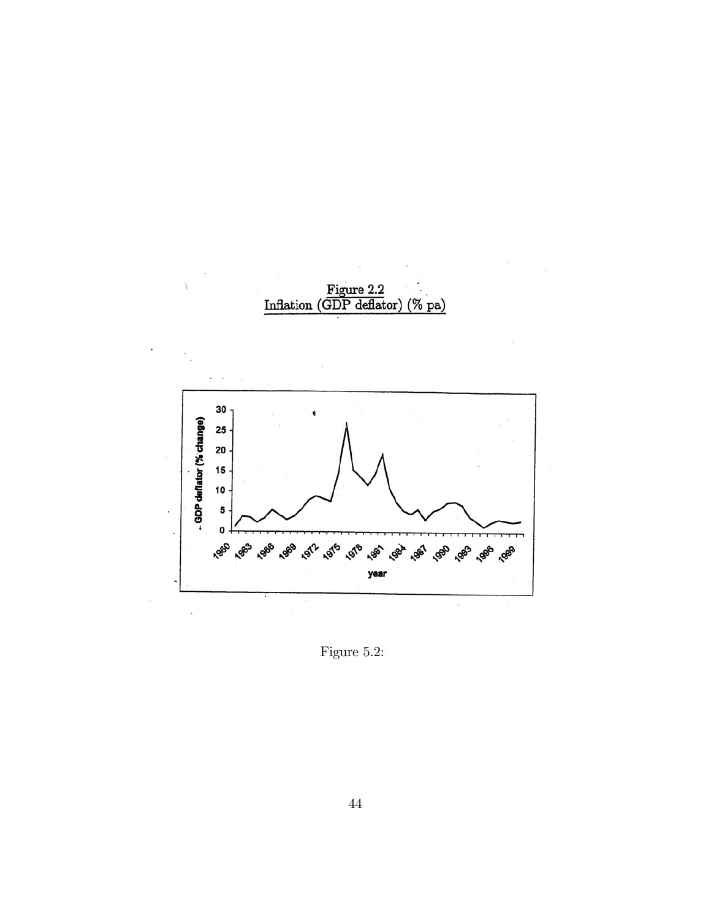

Figure 5.2: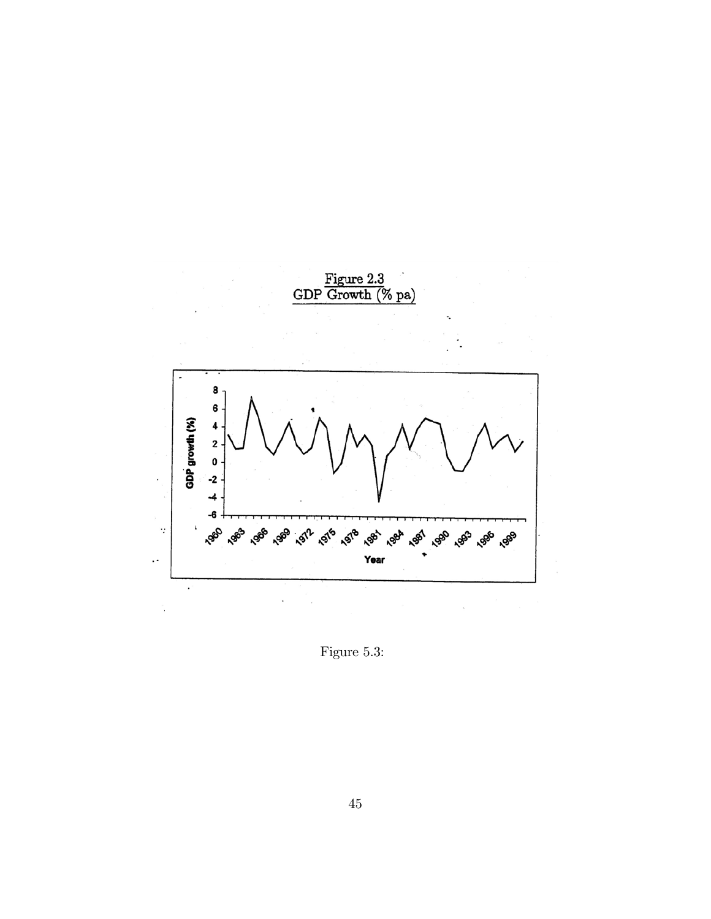

Figure 5.3: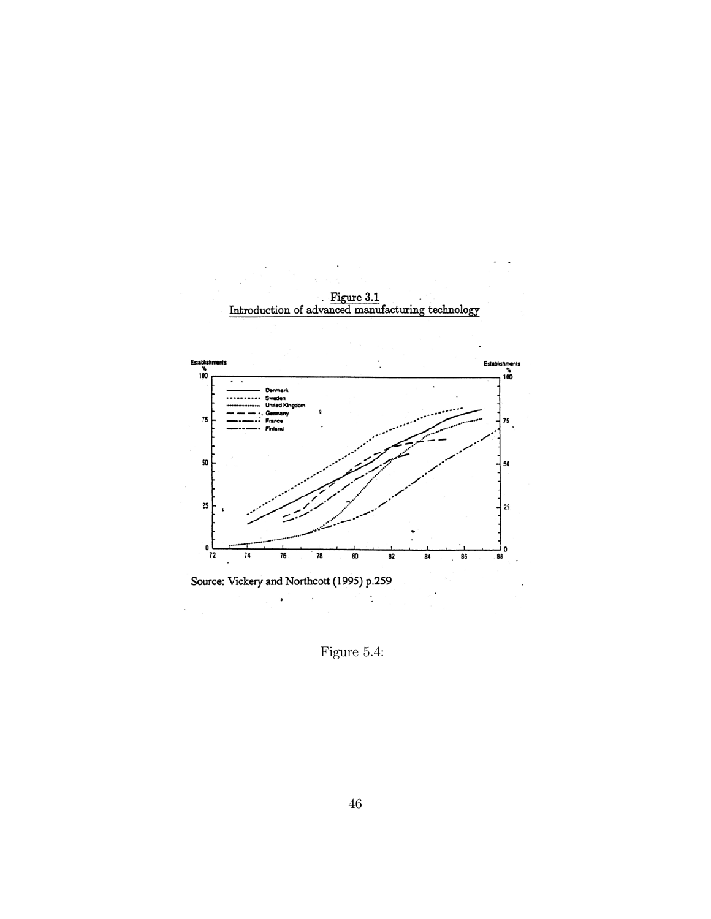

Figure 5.4: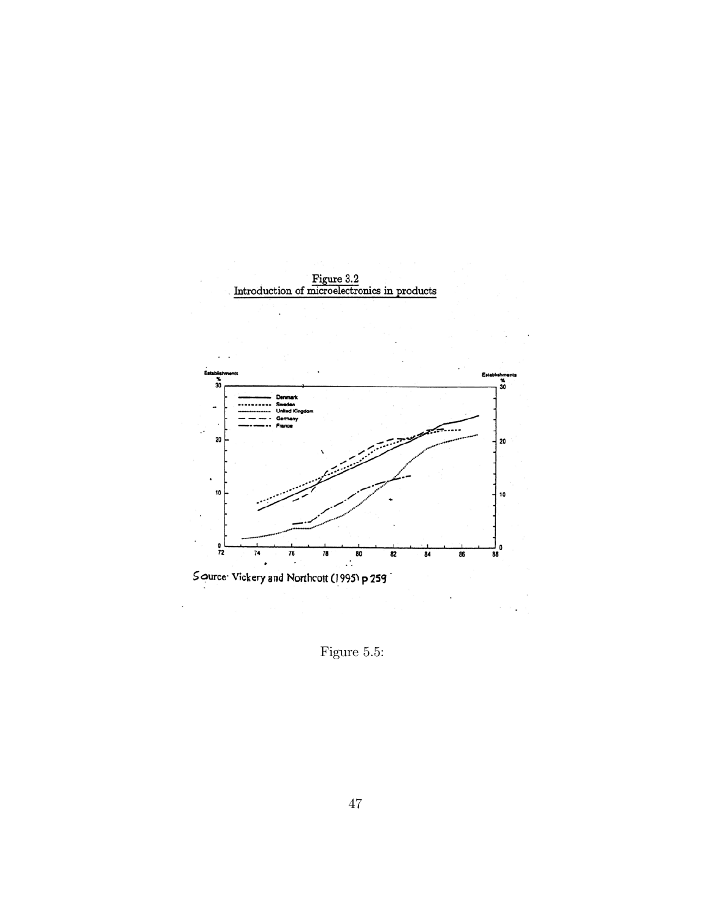

Figure 5.5: